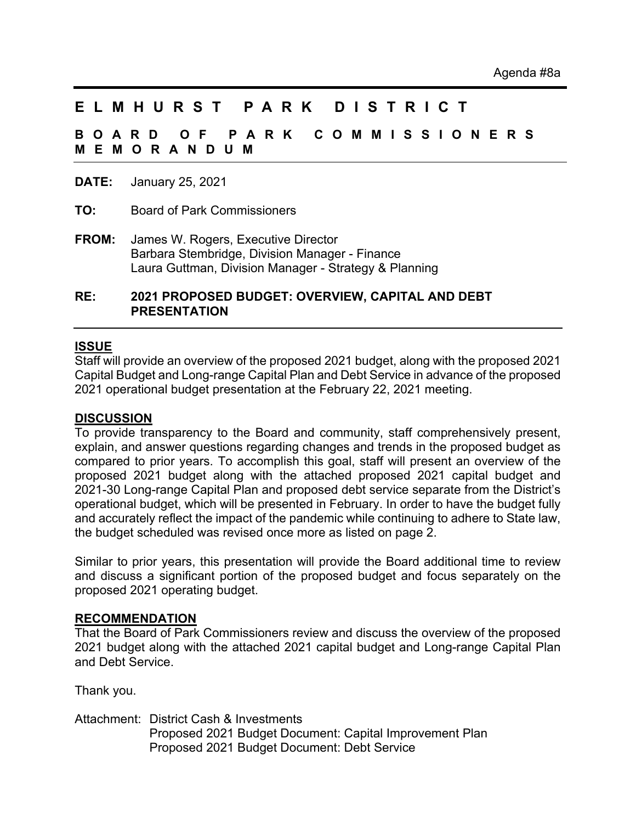## **ELMHURST PARK DISTRICT**

**BOARD OF PARK COMMISSIONERS MEMORANDUM**

**DATE:** January 25, 2021

**TO:** Board of Park Commissioners

**FROM:** James W. Rogers, Executive Director Barbara Stembridge, Division Manager - Finance Laura Guttman, Division Manager - Strategy & Planning

#### **RE: 2021 PROPOSED BUDGET: OVERVIEW, CAPITAL AND DEBT PRESENTATION**

#### **ISSUE**

Staff will provide an overview of the proposed 2021 budget, along with the proposed 2021 Capital Budget and Long-range Capital Plan and Debt Service in advance of the proposed 2021 operational budget presentation at the February 22, 2021 meeting.

#### **DISCUSSION**

To provide transparency to the Board and community, staff comprehensively present, explain, and answer questions regarding changes and trends in the proposed budget as compared to prior years. To accomplish this goal, staff will present an overview of the proposed 2021 budget along with the attached proposed 2021 capital budget and 2021-30 Long-range Capital Plan and proposed debt service separate from the District's operational budget, which will be presented in February. In order to have the budget fully and accurately reflect the impact of the pandemic while continuing to adhere to State law, the budget scheduled was revised once more as listed on page 2.

Similar to prior years, this presentation will provide the Board additional time to review and discuss a significant portion of the proposed budget and focus separately on the proposed 2021 operating budget.

#### **RECOMMENDATION**

That the Board of Park Commissioners review and discuss the overview of the proposed 2021 budget along with the attached 2021 capital budget and Long-range Capital Plan and Debt Service.

Thank you.

Attachment: District Cash & Investments Proposed 2021 Budget Document: Capital Improvement Plan Proposed 2021 Budget Document: Debt Service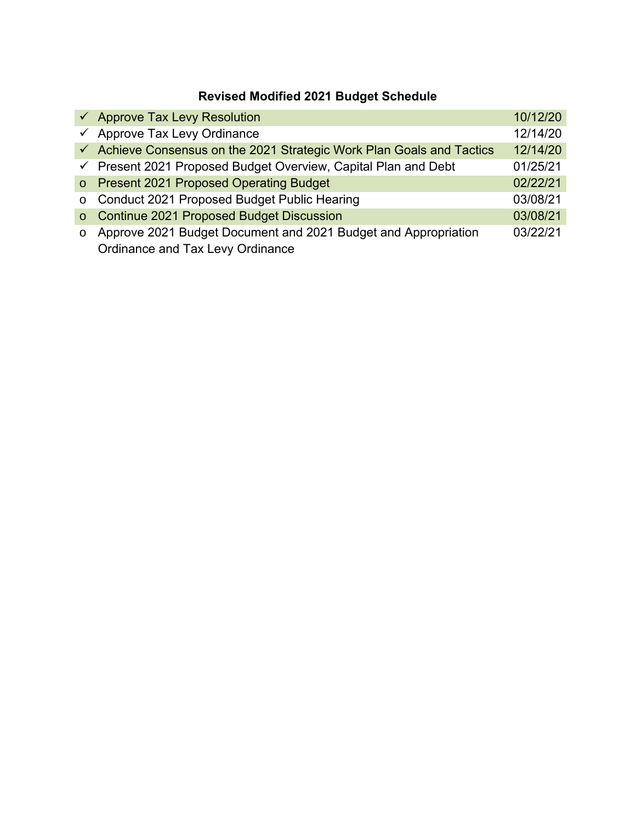## **Revised Modified 2021 Budget Schedule**

| $\checkmark$ | <b>Approve Tax Levy Resolution</b>                                    | 10/12/20 |
|--------------|-----------------------------------------------------------------------|----------|
| $\checkmark$ | Approve Tax Levy Ordinance                                            | 12/14/20 |
|              | ← Achieve Consensus on the 2021 Strategic Work Plan Goals and Tactics | 12/14/20 |
|              | ← Present 2021 Proposed Budget Overview, Capital Plan and Debt        | 01/25/21 |
| $\circ$      | <b>Present 2021 Proposed Operating Budget</b>                         | 02/22/21 |
| $\circ$      | Conduct 2021 Proposed Budget Public Hearing                           | 03/08/21 |
| $\circ$      | <b>Continue 2021 Proposed Budget Discussion</b>                       | 03/08/21 |
| $\circ$      | Approve 2021 Budget Document and 2021 Budget and Appropriation        | 03/22/21 |
|              | Ordinance and Tax Levy Ordinance                                      |          |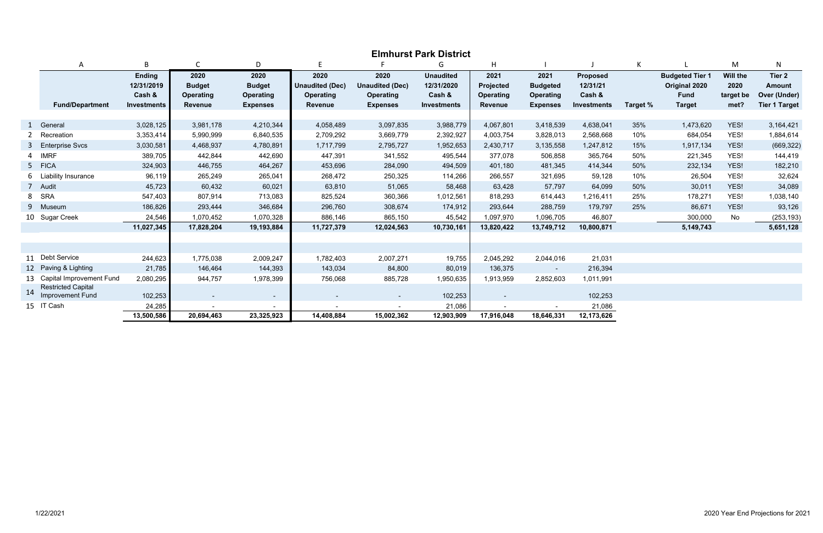|    | <b>Elmhurst Park District</b> |                    |                          |                  |                        |                        |                    |                  |                  |                    |          |                        |           |                      |
|----|-------------------------------|--------------------|--------------------------|------------------|------------------------|------------------------|--------------------|------------------|------------------|--------------------|----------|------------------------|-----------|----------------------|
|    | A                             | B                  | $\mathsf{C}$             | D                | F                      |                        | G                  | H                |                  |                    | K        |                        | M         | $\mathsf{N}$         |
|    |                               | <b>Ending</b>      | 2020                     | 2020             | 2020                   | 2020                   | <b>Unaudited</b>   | 2021             | 2021             | <b>Proposed</b>    |          | <b>Budgeted Tier 1</b> | Will the  | Tier <sub>2</sub>    |
|    |                               | 12/31/2019         | <b>Budget</b>            | <b>Budget</b>    | <b>Unaudited (Dec)</b> | <b>Unaudited (Dec)</b> | 12/31/2020         | Projected        | <b>Budgeted</b>  | 12/31/21           |          | Original 2020          | 2020      | <b>Amount</b>        |
|    |                               | Cash &             | <b>Operating</b>         | <b>Operating</b> | <b>Operating</b>       | <b>Operating</b>       | Cash &             | <b>Operating</b> | <b>Operating</b> | Cash &             |          | <b>Fund</b>            | target be | <b>Over (Under)</b>  |
|    | <b>Fund/Department</b>        | <b>Investments</b> | <b>Revenue</b>           | <b>Expenses</b>  | <b>Revenue</b>         | <b>Expenses</b>        | <b>Investments</b> | <b>Revenue</b>   | <b>Expenses</b>  | <b>Investments</b> | Target % | <b>Target</b>          | met?      | <b>Tier 1 Target</b> |
|    |                               |                    |                          |                  |                        |                        |                    |                  |                  |                    |          |                        |           |                      |
|    | 1 General                     | 3,028,125          | 3,981,178                | 4,210,344        | 4,058,489              | 3,097,835              | 3,988,779          | 4,067,801        | 3,418,539        | 4,638,041          | 35%      | 1,473,620              | YES!      | 3,164,421            |
|    | 2 Recreation                  | 3,353,414          | 5,990,999                | 6,840,535        | 2,709,292              | 3,669,779              | 2,392,927          | 4,003,754        | 3,828,013        | 2,568,668          | 10%      | 684,054                | YES!      | 1,884,614            |
|    | 3 Enterprise Svcs             | 3,030,581          | 4,468,937                | 4,780,891        | 1,717,799              | 2,795,727              | 1,952,653          | 2,430,717        | 3,135,558        | 1,247,812          | 15%      | 1,917,134              | YES!      | (669, 322)           |
|    | 4 IMRF                        | 389,705            | 442,844                  | 442,690          | 447,391                | 341,552                | 495,544            | 377,078          | 506,858          | 365,764            | 50%      | 221,345                | YES!      | 144,419              |
|    | 5 FICA                        | 324,903            | 446,755                  | 464,267          | 453,696                | 284,090                | 494,509            | 401,180          | 481,345          | 414,344            | 50%      | 232,134                | YES!      | 182,210              |
|    | 6 Liability Insurance         | 96,119             | 265,249                  | 265,041          | 268,472                | 250,325                | 114,266            | 266,557          | 321,695          | 59,128             | 10%      | 26,504                 | YES!      | 32,624               |
|    | 7 Audit                       | 45,723             | 60,432                   | 60,021           | 63,810                 | 51,065                 | 58,468             | 63,428           | 57,797           | 64,099             | 50%      | 30,011                 | YES!      | 34,089               |
|    | 8 SRA                         | 547,403            | 807,914                  | 713,083          | 825,524                | 360,366                | 1,012,561          | 818,293          | 614,443          | 1,216,411          | 25%      | 178,271                | YES!      | 1,038,140            |
|    | 9 Museum                      | 186,826            | 293,444                  | 346,684          | 296,760                | 308,674                | 174,912            | 293,644          | 288,759          | 179,797            | 25%      | 86,671                 | YES!      | 93,126               |
|    | 10 Sugar Creek                | 24,546             | 1,070,452                | 1,070,328        | 886,146                | 865,150                | 45,542             | ,097,970         | 1,096,705        | 46,807             |          | 300,000                | No        | (253, 193)           |
|    |                               | 11,027,345         | 17,828,204               | 19,193,884       | 11,727,379             | 12,024,563             | 10,730,161         | 13,820,422       | 13,749,712       | 10,800,871         |          | 5, 149, 743            |           | 5,651,128            |
|    |                               |                    |                          |                  |                        |                        |                    |                  |                  |                    |          |                        |           |                      |
|    |                               |                    |                          |                  |                        |                        |                    |                  |                  |                    |          |                        |           |                      |
|    | 11 Debt Service               | 244,623            | 1,775,038                | 2,009,247        | 1,782,403              | 2,007,271              | 19,755             | 2,045,292        | 2,044,016        | 21,031             |          |                        |           |                      |
|    | 12 Paving & Lighting          | 21,785             | 146,464                  | 144,393          | 143,034                | 84,800                 | 80,019             | 136,375          | $\sim$           | 216,394            |          |                        |           |                      |
|    | 13 Capital Improvement Fund   | 2,080,295          | 944,757                  | 1,978,399        | 756,068                | 885,728                | 1,950,635          | 1,913,959        | 2,852,603        | 1,011,991          |          |                        |           |                      |
| 14 | <b>Restricted Capital</b>     |                    |                          |                  |                        |                        |                    |                  |                  |                    |          |                        |           |                      |
|    | Improvement Fund              | 102,253            | $\overline{\phantom{a}}$ | $\sim$           |                        |                        | 102,253            | $\blacksquare$   |                  | 102,253            |          |                        |           |                      |
|    | 15 IT Cash                    | 24,285             |                          | $\sim$           |                        | $\sim$                 | 21,086             | $\blacksquare$   |                  | 21,086             |          |                        |           |                      |
|    |                               | 13,500,586         | 20,694,463               | 23,325,923       | 14,408,884             | 15,002,362             | 12,903,909         | 17,916,048       | 18,646,331       | 12,173,626         |          |                        |           |                      |

2020 Year End Projections for 2021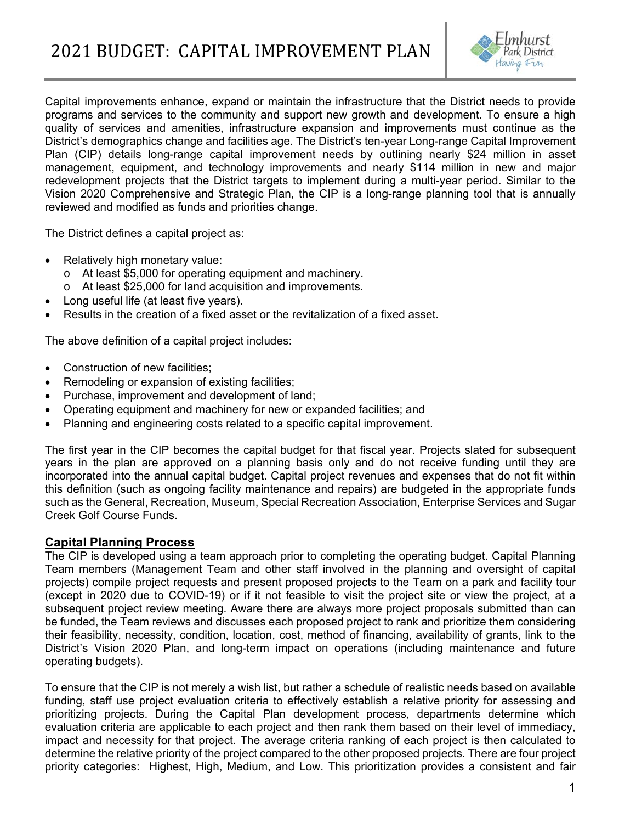

Capital improvements enhance, expand or maintain the infrastructure that the District needs to provide programs and services to the community and support new growth and development. To ensure a high quality of services and amenities, infrastructure expansion and improvements must continue as the District's demographics change and facilities age. The District's ten-year Long-range Capital Improvement Plan (CIP) details long-range capital improvement needs by outlining nearly \$24 million in asset management, equipment, and technology improvements and nearly \$114 million in new and major redevelopment projects that the District targets to implement during a multi-year period. Similar to the Vision 2020 Comprehensive and Strategic Plan, the CIP is a long-range planning tool that is annually reviewed and modified as funds and priorities change.

The District defines a capital project as:

- Relatively high monetary value:
	- o At least \$5,000 for operating equipment and machinery.
	- o At least \$25,000 for land acquisition and improvements.
- Long useful life (at least five years).
- Results in the creation of a fixed asset or the revitalization of a fixed asset.

The above definition of a capital project includes:

- Construction of new facilities;
- Remodeling or expansion of existing facilities;
- Purchase, improvement and development of land;
- Operating equipment and machinery for new or expanded facilities; and
- Planning and engineering costs related to a specific capital improvement.

The first year in the CIP becomes the capital budget for that fiscal year. Projects slated for subsequent years in the plan are approved on a planning basis only and do not receive funding until they are incorporated into the annual capital budget. Capital project revenues and expenses that do not fit within this definition (such as ongoing facility maintenance and repairs) are budgeted in the appropriate funds such as the General, Recreation, Museum, Special Recreation Association, Enterprise Services and Sugar Creek Golf Course Funds.

### **Capital Planning Process**

The CIP is developed using a team approach prior to completing the operating budget. Capital Planning Team members (Management Team and other staff involved in the planning and oversight of capital projects) compile project requests and present proposed projects to the Team on a park and facility tour (except in 2020 due to COVID-19) or if it not feasible to visit the project site or view the project, at a subsequent project review meeting. Aware there are always more project proposals submitted than can be funded, the Team reviews and discusses each proposed project to rank and prioritize them considering their feasibility, necessity, condition, location, cost, method of financing, availability of grants, link to the District's Vision 2020 Plan, and long-term impact on operations (including maintenance and future operating budgets).

To ensure that the CIP is not merely a wish list, but rather a schedule of realistic needs based on available funding, staff use project evaluation criteria to effectively establish a relative priority for assessing and prioritizing projects. During the Capital Plan development process, departments determine which evaluation criteria are applicable to each project and then rank them based on their level of immediacy, impact and necessity for that project. The average criteria ranking of each project is then calculated to determine the relative priority of the project compared to the other proposed projects. There are four project priority categories: Highest, High, Medium, and Low. This prioritization provides a consistent and fair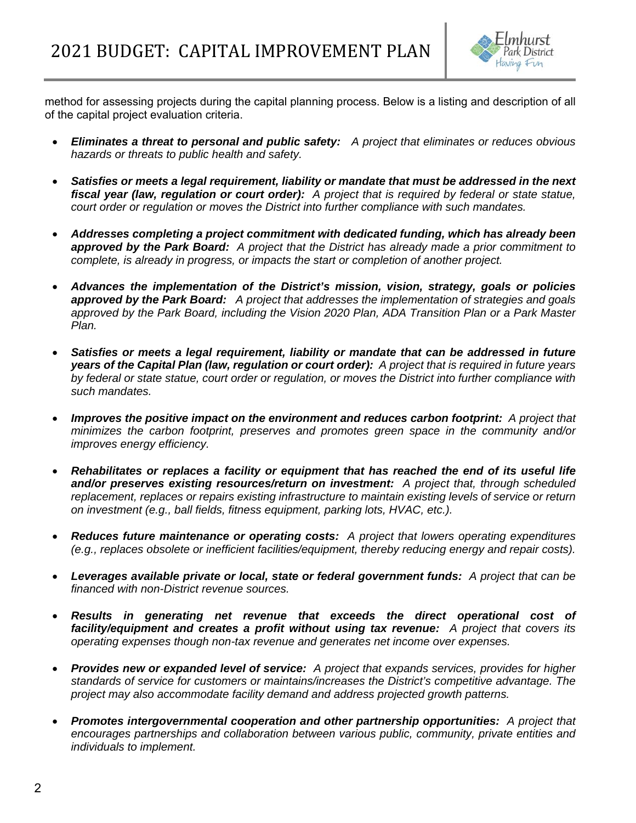

method for assessing projects during the capital planning process. Below is a listing and description of all of the capital project evaluation criteria.

- *Eliminates a threat to personal and public safety: A project that eliminates or reduces obvious hazards or threats to public health and safety.*
- *Satisfies or meets a legal requirement, liability or mandate that must be addressed in the next fiscal year (law, regulation or court order): A project that is required by federal or state statue, court order or regulation or moves the District into further compliance with such mandates.*
- *Addresses completing a project commitment with dedicated funding, which has already been approved by the Park Board: A project that the District has already made a prior commitment to complete, is already in progress, or impacts the start or completion of another project.*
- *Advances the implementation of the District's mission, vision, strategy, goals or policies approved by the Park Board: A project that addresses the implementation of strategies and goals approved by the Park Board, including the Vision 2020 Plan, ADA Transition Plan or a Park Master Plan.*
- *Satisfies or meets a legal requirement, liability or mandate that can be addressed in future years of the Capital Plan (law, regulation or court order): A project that is required in future years by federal or state statue, court order or regulation, or moves the District into further compliance with such mandates.*
- *Improves the positive impact on the environment and reduces carbon footprint: A project that minimizes the carbon footprint, preserves and promotes green space in the community and/or improves energy efficiency.*
- *Rehabilitates or replaces a facility or equipment that has reached the end of its useful life and/or preserves existing resources/return on investment: A project that, through scheduled replacement, replaces or repairs existing infrastructure to maintain existing levels of service or return on investment (e.g., ball fields, fitness equipment, parking lots, HVAC, etc.).*
- *Reduces future maintenance or operating costs: A project that lowers operating expenditures (e.g., replaces obsolete or inefficient facilities/equipment, thereby reducing energy and repair costs).*
- *Leverages available private or local, state or federal government funds: A project that can be financed with non-District revenue sources.*
- *Results in generating net revenue that exceeds the direct operational cost of facility/equipment and creates a profit without using tax revenue: A project that covers its operating expenses though non-tax revenue and generates net income over expenses.*
- *Provides new or expanded level of service: A project that expands services, provides for higher standards of service for customers or maintains/increases the District's competitive advantage. The project may also accommodate facility demand and address projected growth patterns.*
- *Promotes intergovernmental cooperation and other partnership opportunities: A project that encourages partnerships and collaboration between various public, community, private entities and individuals to implement.*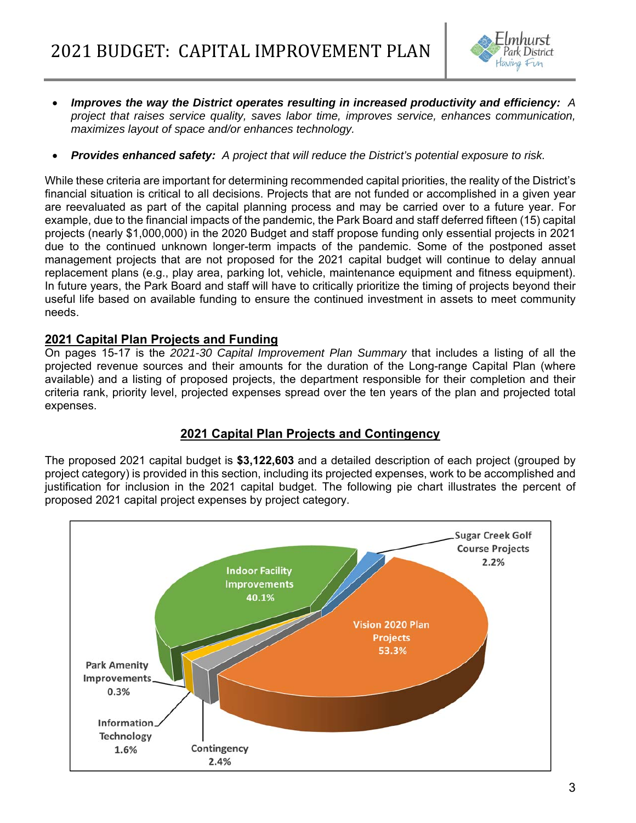

- *Improves the way the District operates resulting in increased productivity and efficiency: A project that raises service quality, saves labor time, improves service, enhances communication, maximizes layout of space and/or enhances technology.*
- *Provides enhanced safety: A project that will reduce the District's potential exposure to risk.*

While these criteria are important for determining recommended capital priorities, the reality of the District's financial situation is critical to all decisions. Projects that are not funded or accomplished in a given year are reevaluated as part of the capital planning process and may be carried over to a future year. For example, due to the financial impacts of the pandemic, the Park Board and staff deferred fifteen (15) capital projects (nearly \$1,000,000) in the 2020 Budget and staff propose funding only essential projects in 2021 due to the continued unknown longer-term impacts of the pandemic. Some of the postponed asset management projects that are not proposed for the 2021 capital budget will continue to delay annual replacement plans (e.g., play area, parking lot, vehicle, maintenance equipment and fitness equipment). In future years, the Park Board and staff will have to critically prioritize the timing of projects beyond their useful life based on available funding to ensure the continued investment in assets to meet community needs.

#### **2021 Capital Plan Projects and Funding**

On pages 15-17 is the *2021-30 Capital Improvement Plan Summary* that includes a listing of all the projected revenue sources and their amounts for the duration of the Long-range Capital Plan (where available) and a listing of proposed projects, the department responsible for their completion and their criteria rank, priority level, projected expenses spread over the ten years of the plan and projected total expenses.

### **2021 Capital Plan Projects and Contingency**

The proposed 2021 capital budget is **\$3,122,603** and a detailed description of each project (grouped by project category) is provided in this section, including its projected expenses, work to be accomplished and justification for inclusion in the 2021 capital budget. The following pie chart illustrates the percent of proposed 2021 capital project expenses by project category.

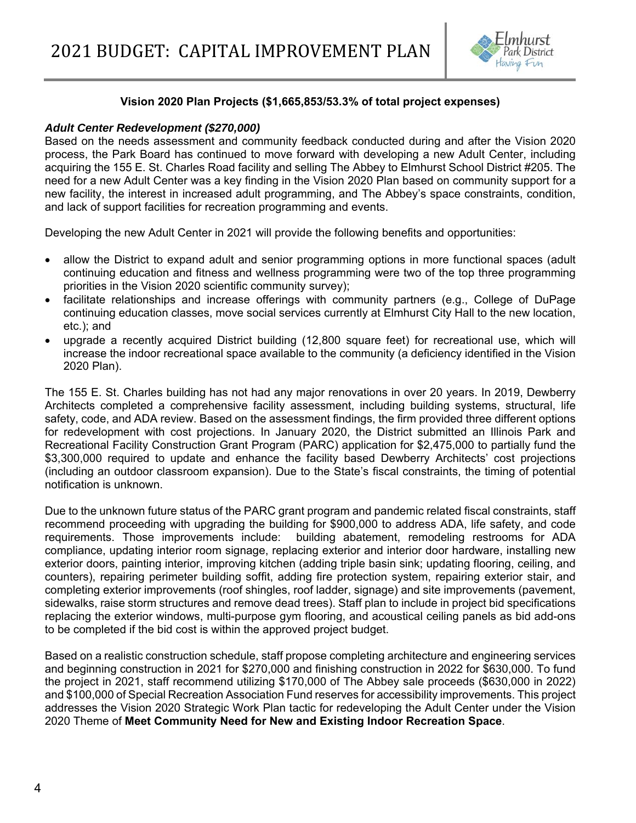

#### **Vision 2020 Plan Projects (\$1,665,853/53.3% of total project expenses)**

#### *Adult Center Redevelopment (\$270,000)*

Based on the needs assessment and community feedback conducted during and after the Vision 2020 process, the Park Board has continued to move forward with developing a new Adult Center, including acquiring the 155 E. St. Charles Road facility and selling The Abbey to Elmhurst School District #205. The need for a new Adult Center was a key finding in the Vision 2020 Plan based on community support for a new facility, the interest in increased adult programming, and The Abbey's space constraints, condition, and lack of support facilities for recreation programming and events.

Developing the new Adult Center in 2021 will provide the following benefits and opportunities:

- allow the District to expand adult and senior programming options in more functional spaces (adult continuing education and fitness and wellness programming were two of the top three programming priorities in the Vision 2020 scientific community survey);
- facilitate relationships and increase offerings with community partners (e.g., College of DuPage continuing education classes, move social services currently at Elmhurst City Hall to the new location, etc.); and
- upgrade a recently acquired District building (12,800 square feet) for recreational use, which will increase the indoor recreational space available to the community (a deficiency identified in the Vision 2020 Plan).

The 155 E. St. Charles building has not had any major renovations in over 20 years. In 2019, Dewberry Architects completed a comprehensive facility assessment, including building systems, structural, life safety, code, and ADA review. Based on the assessment findings, the firm provided three different options for redevelopment with cost projections. In January 2020, the District submitted an Illinois Park and Recreational Facility Construction Grant Program (PARC) application for \$2,475,000 to partially fund the \$3,300,000 required to update and enhance the facility based Dewberry Architects' cost projections (including an outdoor classroom expansion). Due to the State's fiscal constraints, the timing of potential notification is unknown.

Due to the unknown future status of the PARC grant program and pandemic related fiscal constraints, staff recommend proceeding with upgrading the building for \$900,000 to address ADA, life safety, and code requirements. Those improvements include: building abatement, remodeling restrooms for ADA compliance, updating interior room signage, replacing exterior and interior door hardware, installing new exterior doors, painting interior, improving kitchen (adding triple basin sink; updating flooring, ceiling, and counters), repairing perimeter building soffit, adding fire protection system, repairing exterior stair, and completing exterior improvements (roof shingles, roof ladder, signage) and site improvements (pavement, sidewalks, raise storm structures and remove dead trees). Staff plan to include in project bid specifications replacing the exterior windows, multi-purpose gym flooring, and acoustical ceiling panels as bid add-ons to be completed if the bid cost is within the approved project budget.

Based on a realistic construction schedule, staff propose completing architecture and engineering services and beginning construction in 2021 for \$270,000 and finishing construction in 2022 for \$630,000. To fund the project in 2021, staff recommend utilizing \$170,000 of The Abbey sale proceeds (\$630,000 in 2022) and \$100,000 of Special Recreation Association Fund reserves for accessibility improvements. This project addresses the Vision 2020 Strategic Work Plan tactic for redeveloping the Adult Center under the Vision 2020 Theme of **Meet Community Need for New and Existing Indoor Recreation Space**.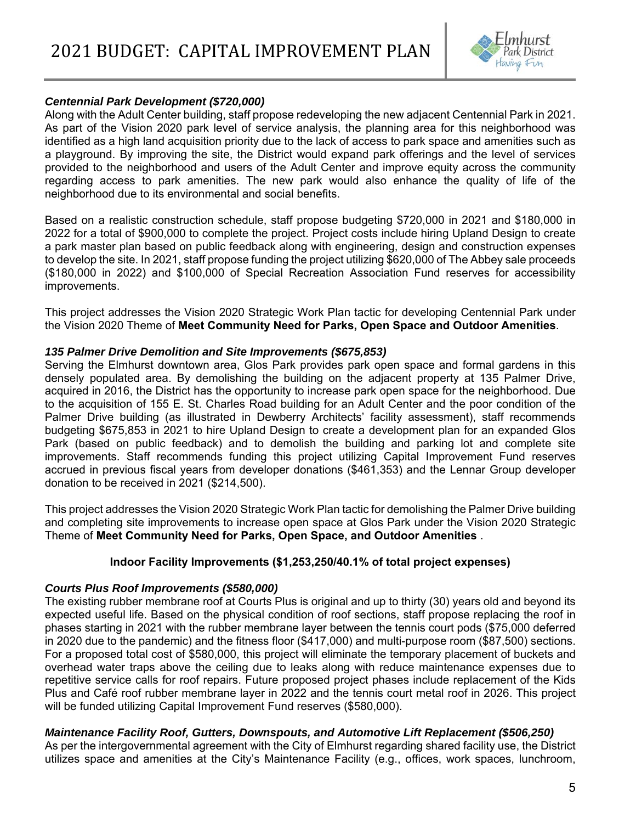

#### *Centennial Park Development (\$720,000)*

Along with the Adult Center building, staff propose redeveloping the new adjacent Centennial Park in 2021. As part of the Vision 2020 park level of service analysis, the planning area for this neighborhood was identified as a high land acquisition priority due to the lack of access to park space and amenities such as a playground. By improving the site, the District would expand park offerings and the level of services provided to the neighborhood and users of the Adult Center and improve equity across the community regarding access to park amenities. The new park would also enhance the quality of life of the neighborhood due to its environmental and social benefits.

Based on a realistic construction schedule, staff propose budgeting \$720,000 in 2021 and \$180,000 in 2022 for a total of \$900,000 to complete the project. Project costs include hiring Upland Design to create a park master plan based on public feedback along with engineering, design and construction expenses to develop the site. In 2021, staff propose funding the project utilizing \$620,000 of The Abbey sale proceeds (\$180,000 in 2022) and \$100,000 of Special Recreation Association Fund reserves for accessibility improvements.

This project addresses the Vision 2020 Strategic Work Plan tactic for developing Centennial Park under the Vision 2020 Theme of **Meet Community Need for Parks, Open Space and Outdoor Amenities**.

#### *135 Palmer Drive Demolition and Site Improvements (\$675,853)*

Serving the Elmhurst downtown area, Glos Park provides park open space and formal gardens in this densely populated area. By demolishing the building on the adjacent property at 135 Palmer Drive, acquired in 2016, the District has the opportunity to increase park open space for the neighborhood. Due to the acquisition of 155 E. St. Charles Road building for an Adult Center and the poor condition of the Palmer Drive building (as illustrated in Dewberry Architects' facility assessment), staff recommends budgeting \$675,853 in 2021 to hire Upland Design to create a development plan for an expanded Glos Park (based on public feedback) and to demolish the building and parking lot and complete site improvements. Staff recommends funding this project utilizing Capital Improvement Fund reserves accrued in previous fiscal years from developer donations (\$461,353) and the Lennar Group developer donation to be received in 2021 (\$214,500).

This project addresses the Vision 2020 Strategic Work Plan tactic for demolishing the Palmer Drive building and completing site improvements to increase open space at Glos Park under the Vision 2020 Strategic Theme of **Meet Community Need for Parks, Open Space, and Outdoor Amenities** .

#### **Indoor Facility Improvements (\$1,253,250/40.1% of total project expenses)**

#### *Courts Plus Roof Improvements (\$580,000)*

The existing rubber membrane roof at Courts Plus is original and up to thirty (30) years old and beyond its expected useful life. Based on the physical condition of roof sections, staff propose replacing the roof in phases starting in 2021 with the rubber membrane layer between the tennis court pods (\$75,000 deferred in 2020 due to the pandemic) and the fitness floor (\$417,000) and multi-purpose room (\$87,500) sections. For a proposed total cost of \$580,000, this project will eliminate the temporary placement of buckets and overhead water traps above the ceiling due to leaks along with reduce maintenance expenses due to repetitive service calls for roof repairs. Future proposed project phases include replacement of the Kids Plus and Café roof rubber membrane layer in 2022 and the tennis court metal roof in 2026. This project will be funded utilizing Capital Improvement Fund reserves (\$580,000).

#### *Maintenance Facility Roof, Gutters, Downspouts, and Automotive Lift Replacement (\$506,250)*

As per the intergovernmental agreement with the City of Elmhurst regarding shared facility use, the District utilizes space and amenities at the City's Maintenance Facility (e.g., offices, work spaces, lunchroom,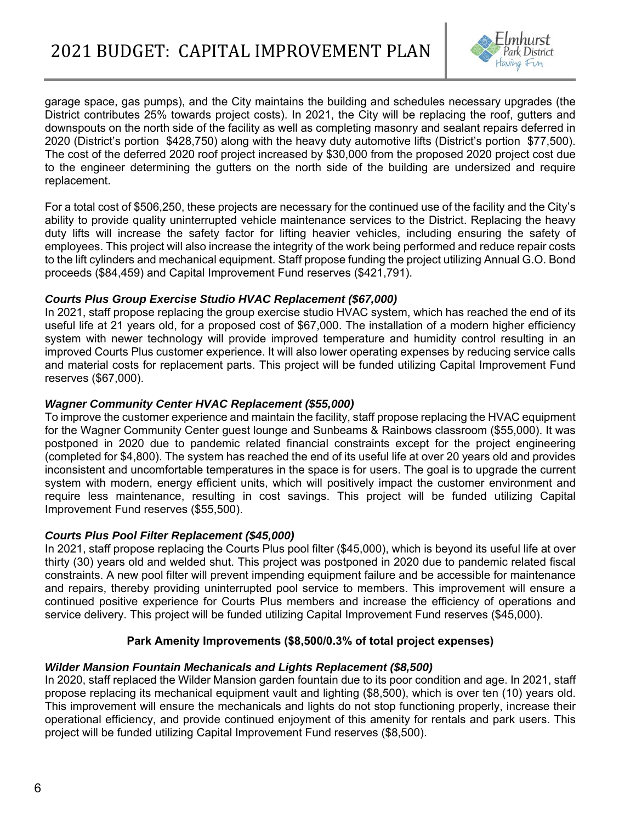

garage space, gas pumps), and the City maintains the building and schedules necessary upgrades (the District contributes 25% towards project costs). In 2021, the City will be replacing the roof, gutters and downspouts on the north side of the facility as well as completing masonry and sealant repairs deferred in 2020 (District's portion \$428,750) along with the heavy duty automotive lifts (District's portion \$77,500). The cost of the deferred 2020 roof project increased by \$30,000 from the proposed 2020 project cost due to the engineer determining the gutters on the north side of the building are undersized and require replacement.

For a total cost of \$506,250, these projects are necessary for the continued use of the facility and the City's ability to provide quality uninterrupted vehicle maintenance services to the District. Replacing the heavy duty lifts will increase the safety factor for lifting heavier vehicles, including ensuring the safety of employees. This project will also increase the integrity of the work being performed and reduce repair costs to the lift cylinders and mechanical equipment. Staff propose funding the project utilizing Annual G.O. Bond proceeds (\$84,459) and Capital Improvement Fund reserves (\$421,791).

#### *Courts Plus Group Exercise Studio HVAC Replacement (\$67,000)*

In 2021, staff propose replacing the group exercise studio HVAC system, which has reached the end of its useful life at 21 years old, for a proposed cost of \$67,000. The installation of a modern higher efficiency system with newer technology will provide improved temperature and humidity control resulting in an improved Courts Plus customer experience. It will also lower operating expenses by reducing service calls and material costs for replacement parts. This project will be funded utilizing Capital Improvement Fund reserves (\$67,000).

#### *Wagner Community Center HVAC Replacement (\$55,000)*

To improve the customer experience and maintain the facility, staff propose replacing the HVAC equipment for the Wagner Community Center guest lounge and Sunbeams & Rainbows classroom (\$55,000). It was postponed in 2020 due to pandemic related financial constraints except for the project engineering (completed for \$4,800). The system has reached the end of its useful life at over 20 years old and provides inconsistent and uncomfortable temperatures in the space is for users. The goal is to upgrade the current system with modern, energy efficient units, which will positively impact the customer environment and require less maintenance, resulting in cost savings. This project will be funded utilizing Capital Improvement Fund reserves (\$55,500).

#### *Courts Plus Pool Filter Replacement (\$45,000)*

In 2021, staff propose replacing the Courts Plus pool filter (\$45,000), which is beyond its useful life at over thirty (30) years old and welded shut. This project was postponed in 2020 due to pandemic related fiscal constraints. A new pool filter will prevent impending equipment failure and be accessible for maintenance and repairs, thereby providing uninterrupted pool service to members. This improvement will ensure a continued positive experience for Courts Plus members and increase the efficiency of operations and service delivery. This project will be funded utilizing Capital Improvement Fund reserves (\$45,000).

#### **Park Amenity Improvements (\$8,500/0.3% of total project expenses)**

#### *Wilder Mansion Fountain Mechanicals and Lights Replacement (\$8,500)*

In 2020, staff replaced the Wilder Mansion garden fountain due to its poor condition and age. In 2021, staff propose replacing its mechanical equipment vault and lighting (\$8,500), which is over ten (10) years old. This improvement will ensure the mechanicals and lights do not stop functioning properly, increase their operational efficiency, and provide continued enjoyment of this amenity for rentals and park users. This project will be funded utilizing Capital Improvement Fund reserves (\$8,500).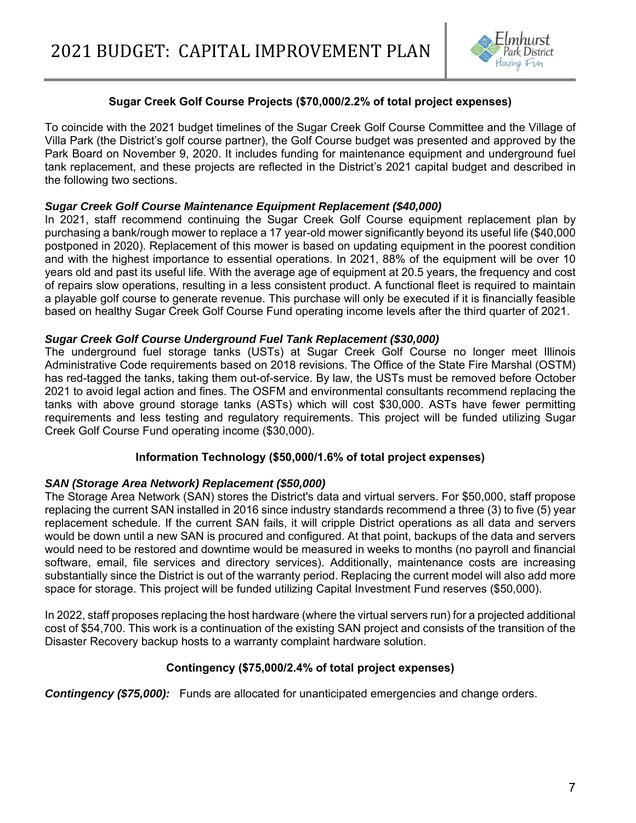

#### **Sugar Creek Golf Course Projects (\$70,000/2.2% of total project expenses)**

To coincide with the 2021 budget timelines of the Sugar Creek Golf Course Committee and the Village of Villa Park (the District's golf course partner), the Golf Course budget was presented and approved by the Park Board on November 9, 2020. It includes funding for maintenance equipment and underground fuel tank replacement, and these projects are reflected in the District's 2021 capital budget and described in the following two sections.

#### *Sugar Creek Golf Course Maintenance Equipment Replacement (\$40,000)*

In 2021, staff recommend continuing the Sugar Creek Golf Course equipment replacement plan by purchasing a bank/rough mower to replace a 17 year-old mower significantly beyond its useful life (\$40,000 postponed in 2020). Replacement of this mower is based on updating equipment in the poorest condition and with the highest importance to essential operations. In 2021, 88% of the equipment will be over 10 years old and past its useful life. With the average age of equipment at 20.5 years, the frequency and cost of repairs slow operations, resulting in a less consistent product. A functional fleet is required to maintain a playable golf course to generate revenue. This purchase will only be executed if it is financially feasible based on healthy Sugar Creek Golf Course Fund operating income levels after the third quarter of 2021.

#### *Sugar Creek Golf Course Underground Fuel Tank Replacement (\$30,000)*

The underground fuel storage tanks (USTs) at Sugar Creek Golf Course no longer meet Illinois Administrative Code requirements based on 2018 revisions. The Office of the State Fire Marshal (OSTM) has red-tagged the tanks, taking them out-of-service. By law, the USTs must be removed before October 2021 to avoid legal action and fines. The OSFM and environmental consultants recommend replacing the tanks with above ground storage tanks (ASTs) which will cost \$30,000. ASTs have fewer permitting requirements and less testing and regulatory requirements. This project will be funded utilizing Sugar Creek Golf Course Fund operating income (\$30,000).

#### **Information Technology (\$50,000/1.6% of total project expenses)**

#### *SAN (Storage Area Network) Replacement (\$50,000)*

The Storage Area Network (SAN) stores the District's data and virtual servers. For \$50,000, staff propose replacing the current SAN installed in 2016 since industry standards recommend a three (3) to five (5) year replacement schedule. If the current SAN fails, it will cripple District operations as all data and servers would be down until a new SAN is procured and configured. At that point, backups of the data and servers would need to be restored and downtime would be measured in weeks to months (no payroll and financial software, email, file services and directory services). Additionally, maintenance costs are increasing substantially since the District is out of the warranty period. Replacing the current model will also add more space for storage. This project will be funded utilizing Capital Investment Fund reserves (\$50,000).

In 2022, staff proposes replacing the host hardware (where the virtual servers run) for a projected additional cost of \$54,700. This work is a continuation of the existing SAN project and consists of the transition of the Disaster Recovery backup hosts to a warranty complaint hardware solution.

#### **Contingency (\$75,000/2.4% of total project expenses)**

**Contingency (\$75,000):** Funds are allocated for unanticipated emergencies and change orders.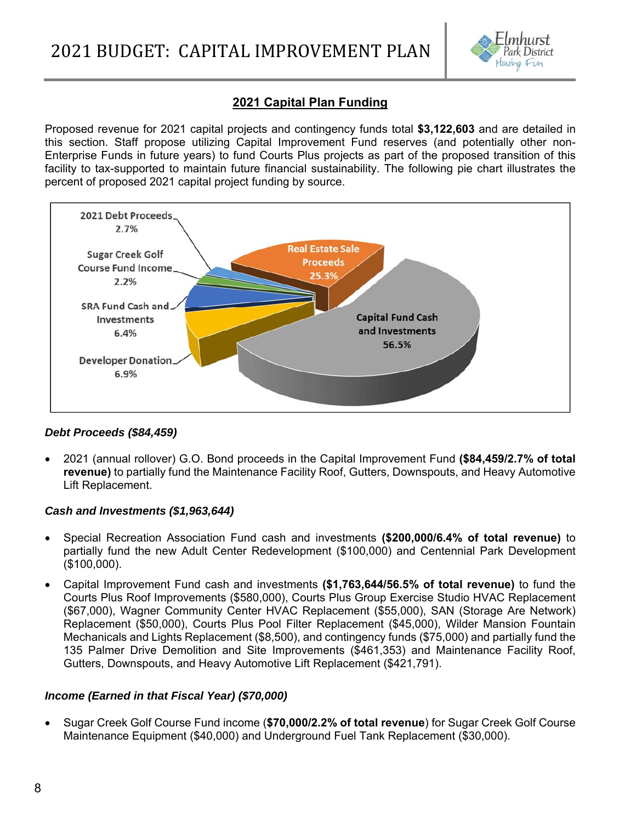

### **2021 Capital Plan Funding**

Proposed revenue for 2021 capital projects and contingency funds total **\$3,122,603** and are detailed in this section. Staff propose utilizing Capital Improvement Fund reserves (and potentially other non-Enterprise Funds in future years) to fund Courts Plus projects as part of the proposed transition of this facility to tax-supported to maintain future financial sustainability. The following pie chart illustrates the percent of proposed 2021 capital project funding by source.



### *Debt Proceeds (\$84,459)*

 2021 (annual rollover) G.O. Bond proceeds in the Capital Improvement Fund **(\$84,459/2.7% of total revenue)** to partially fund the Maintenance Facility Roof, Gutters, Downspouts, and Heavy Automotive Lift Replacement.

#### *Cash and Investments (\$1,963,644)*

- Special Recreation Association Fund cash and investments **(\$200,000/6.4% of total revenue)** to partially fund the new Adult Center Redevelopment (\$100,000) and Centennial Park Development (\$100,000).
- Capital Improvement Fund cash and investments **(\$1,763,644/56.5% of total revenue)** to fund the Courts Plus Roof Improvements (\$580,000), Courts Plus Group Exercise Studio HVAC Replacement (\$67,000), Wagner Community Center HVAC Replacement (\$55,000), SAN (Storage Are Network) Replacement (\$50,000), Courts Plus Pool Filter Replacement (\$45,000), Wilder Mansion Fountain Mechanicals and Lights Replacement (\$8,500), and contingency funds (\$75,000) and partially fund the 135 Palmer Drive Demolition and Site Improvements (\$461,353) and Maintenance Facility Roof, Gutters, Downspouts, and Heavy Automotive Lift Replacement (\$421,791).

### *Income (Earned in that Fiscal Year) (\$70,000)*

 Sugar Creek Golf Course Fund income (**\$70,000/2.2% of total revenue**) for Sugar Creek Golf Course Maintenance Equipment (\$40,000) and Underground Fuel Tank Replacement (\$30,000).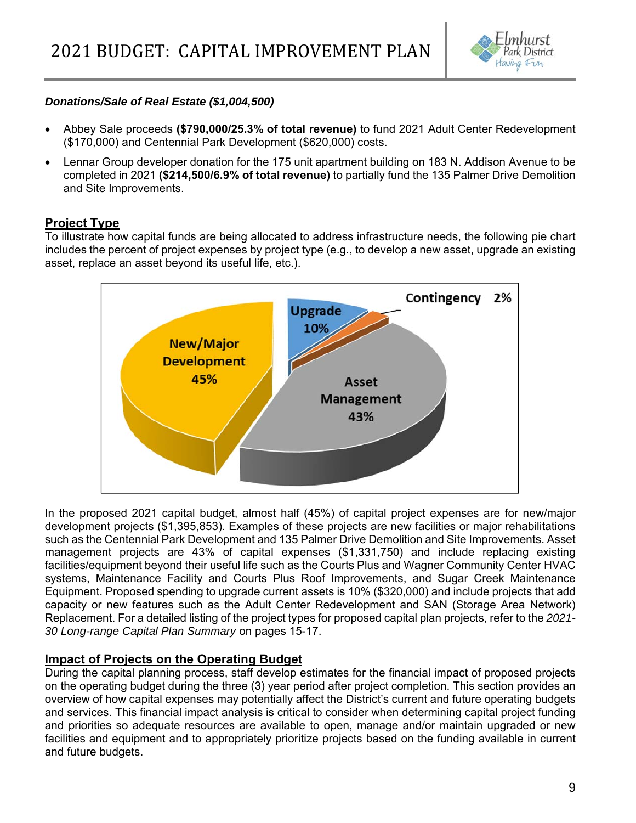

#### *Donations/Sale of Real Estate (\$1,004,500)*

- Abbey Sale proceeds **(\$790,000/25.3% of total revenue)** to fund 2021 Adult Center Redevelopment (\$170,000) and Centennial Park Development (\$620,000) costs.
- Lennar Group developer donation for the 175 unit apartment building on 183 N. Addison Avenue to be completed in 2021 **(\$214,500/6.9% of total revenue)** to partially fund the 135 Palmer Drive Demolition and Site Improvements.

### **Project Type**

To illustrate how capital funds are being allocated to address infrastructure needs, the following pie chart includes the percent of project expenses by project type (e.g., to develop a new asset, upgrade an existing asset, replace an asset beyond its useful life, etc.).



In the proposed 2021 capital budget, almost half (45%) of capital project expenses are for new/major development projects (\$1,395,853). Examples of these projects are new facilities or major rehabilitations such as the Centennial Park Development and 135 Palmer Drive Demolition and Site Improvements. Asset management projects are 43% of capital expenses (\$1,331,750) and include replacing existing facilities/equipment beyond their useful life such as the Courts Plus and Wagner Community Center HVAC systems, Maintenance Facility and Courts Plus Roof Improvements, and Sugar Creek Maintenance Equipment. Proposed spending to upgrade current assets is 10% (\$320,000) and include projects that add capacity or new features such as the Adult Center Redevelopment and SAN (Storage Area Network) Replacement. For a detailed listing of the project types for proposed capital plan projects, refer to the *2021- 30 Long-range Capital Plan Summary* on pages 15-17.

### **Impact of Projects on the Operating Budget**

During the capital planning process, staff develop estimates for the financial impact of proposed projects on the operating budget during the three (3) year period after project completion. This section provides an overview of how capital expenses may potentially affect the District's current and future operating budgets and services. This financial impact analysis is critical to consider when determining capital project funding and priorities so adequate resources are available to open, manage and/or maintain upgraded or new facilities and equipment and to appropriately prioritize projects based on the funding available in current and future budgets.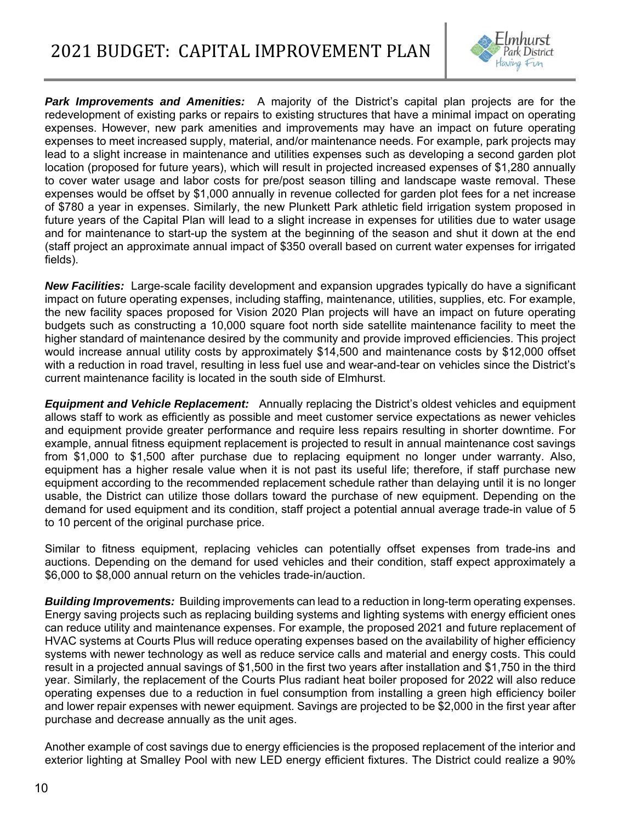

*Park Improvements and Amenities:* A majority of the District's capital plan projects are for the redevelopment of existing parks or repairs to existing structures that have a minimal impact on operating expenses. However, new park amenities and improvements may have an impact on future operating expenses to meet increased supply, material, and/or maintenance needs. For example, park projects may lead to a slight increase in maintenance and utilities expenses such as developing a second garden plot location (proposed for future years), which will result in projected increased expenses of \$1,280 annually to cover water usage and labor costs for pre/post season tilling and landscape waste removal. These expenses would be offset by \$1,000 annually in revenue collected for garden plot fees for a net increase of \$780 a year in expenses. Similarly, the new Plunkett Park athletic field irrigation system proposed in future years of the Capital Plan will lead to a slight increase in expenses for utilities due to water usage and for maintenance to start-up the system at the beginning of the season and shut it down at the end (staff project an approximate annual impact of \$350 overall based on current water expenses for irrigated fields).

*New Facilities:* Large-scale facility development and expansion upgrades typically do have a significant impact on future operating expenses, including staffing, maintenance, utilities, supplies, etc. For example, the new facility spaces proposed for Vision 2020 Plan projects will have an impact on future operating budgets such as constructing a 10,000 square foot north side satellite maintenance facility to meet the higher standard of maintenance desired by the community and provide improved efficiencies. This project would increase annual utility costs by approximately \$14,500 and maintenance costs by \$12,000 offset with a reduction in road travel, resulting in less fuel use and wear-and-tear on vehicles since the District's current maintenance facility is located in the south side of Elmhurst.

*Equipment and Vehicle Replacement:* Annually replacing the District's oldest vehicles and equipment allows staff to work as efficiently as possible and meet customer service expectations as newer vehicles and equipment provide greater performance and require less repairs resulting in shorter downtime. For example, annual fitness equipment replacement is projected to result in annual maintenance cost savings from \$1,000 to \$1,500 after purchase due to replacing equipment no longer under warranty. Also, equipment has a higher resale value when it is not past its useful life; therefore, if staff purchase new equipment according to the recommended replacement schedule rather than delaying until it is no longer usable, the District can utilize those dollars toward the purchase of new equipment. Depending on the demand for used equipment and its condition, staff project a potential annual average trade-in value of 5 to 10 percent of the original purchase price.

Similar to fitness equipment, replacing vehicles can potentially offset expenses from trade-ins and auctions. Depending on the demand for used vehicles and their condition, staff expect approximately a \$6,000 to \$8,000 annual return on the vehicles trade-in/auction.

*Building Improvements:* Building improvements can lead to a reduction in long-term operating expenses. Energy saving projects such as replacing building systems and lighting systems with energy efficient ones can reduce utility and maintenance expenses. For example, the proposed 2021 and future replacement of HVAC systems at Courts Plus will reduce operating expenses based on the availability of higher efficiency systems with newer technology as well as reduce service calls and material and energy costs. This could result in a projected annual savings of \$1,500 in the first two years after installation and \$1,750 in the third year. Similarly, the replacement of the Courts Plus radiant heat boiler proposed for 2022 will also reduce operating expenses due to a reduction in fuel consumption from installing a green high efficiency boiler and lower repair expenses with newer equipment. Savings are projected to be \$2,000 in the first year after purchase and decrease annually as the unit ages.

Another example of cost savings due to energy efficiencies is the proposed replacement of the interior and exterior lighting at Smalley Pool with new LED energy efficient fixtures. The District could realize a 90%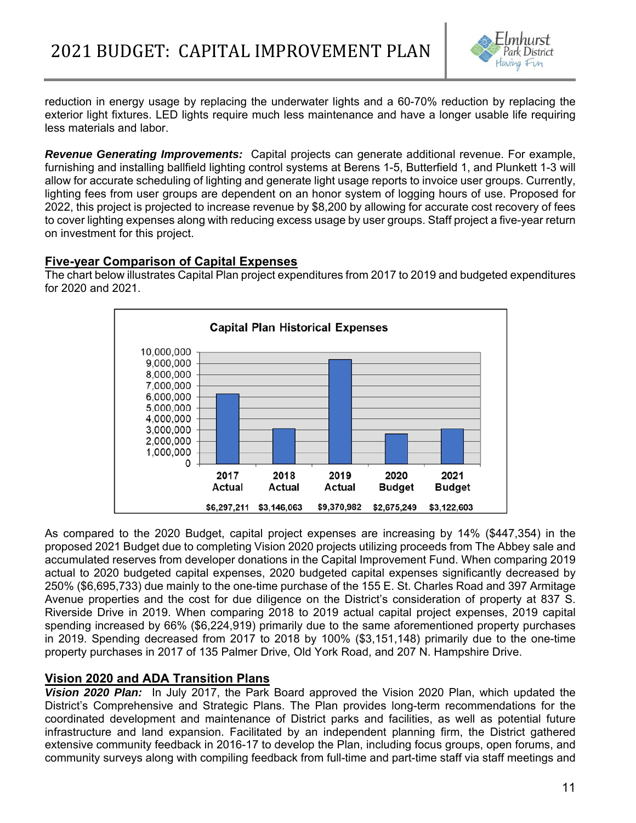

reduction in energy usage by replacing the underwater lights and a 60-70% reduction by replacing the exterior light fixtures. LED lights require much less maintenance and have a longer usable life requiring less materials and labor.

*Revenue Generating Improvements:* Capital projects can generate additional revenue. For example, furnishing and installing ballfield lighting control systems at Berens 1-5, Butterfield 1, and Plunkett 1-3 will allow for accurate scheduling of lighting and generate light usage reports to invoice user groups. Currently, lighting fees from user groups are dependent on an honor system of logging hours of use. Proposed for 2022, this project is projected to increase revenue by \$8,200 by allowing for accurate cost recovery of fees to cover lighting expenses along with reducing excess usage by user groups. Staff project a five-year return on investment for this project.

### **Five-year Comparison of Capital Expenses**

The chart below illustrates Capital Plan project expenditures from 2017 to 2019 and budgeted expenditures for 2020 and 2021.



As compared to the 2020 Budget, capital project expenses are increasing by 14% (\$447,354) in the proposed 2021 Budget due to completing Vision 2020 projects utilizing proceeds from The Abbey sale and accumulated reserves from developer donations in the Capital Improvement Fund. When comparing 2019 actual to 2020 budgeted capital expenses, 2020 budgeted capital expenses significantly decreased by 250% (\$6,695,733) due mainly to the one-time purchase of the 155 E. St. Charles Road and 397 Armitage Avenue properties and the cost for due diligence on the District's consideration of property at 837 S. Riverside Drive in 2019. When comparing 2018 to 2019 actual capital project expenses, 2019 capital spending increased by 66% (\$6,224,919) primarily due to the same aforementioned property purchases in 2019. Spending decreased from 2017 to 2018 by 100% (\$3,151,148) primarily due to the one-time property purchases in 2017 of 135 Palmer Drive, Old York Road, and 207 N. Hampshire Drive.

### **Vision 2020 and ADA Transition Plans**

*Vision 2020 Plan:* In July 2017, the Park Board approved the Vision 2020 Plan, which updated the District's Comprehensive and Strategic Plans. The Plan provides long-term recommendations for the coordinated development and maintenance of District parks and facilities, as well as potential future infrastructure and land expansion. Facilitated by an independent planning firm, the District gathered extensive community feedback in 2016-17 to develop the Plan, including focus groups, open forums, and community surveys along with compiling feedback from full-time and part-time staff via staff meetings and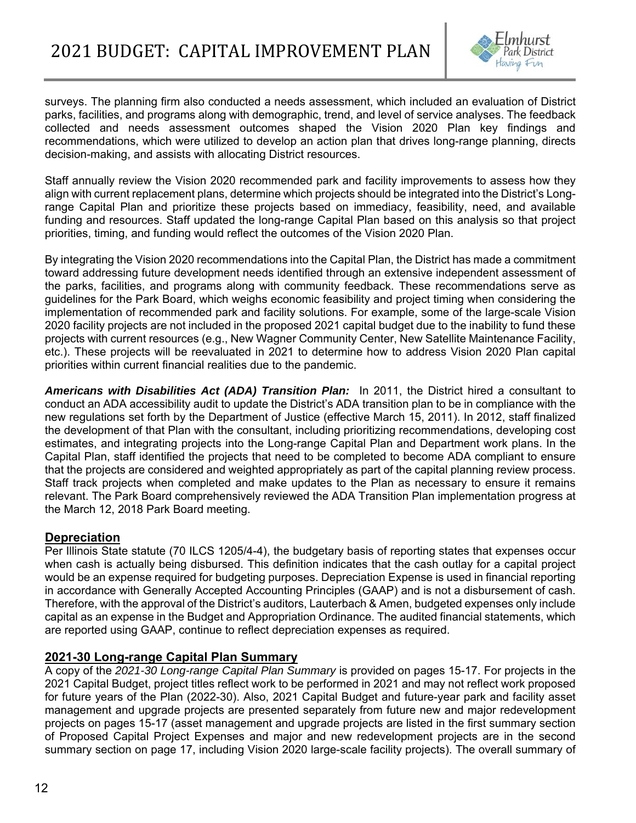

surveys. The planning firm also conducted a needs assessment, which included an evaluation of District parks, facilities, and programs along with demographic, trend, and level of service analyses. The feedback collected and needs assessment outcomes shaped the Vision 2020 Plan key findings and recommendations, which were utilized to develop an action plan that drives long-range planning, directs decision-making, and assists with allocating District resources.

Staff annually review the Vision 2020 recommended park and facility improvements to assess how they align with current replacement plans, determine which projects should be integrated into the District's Longrange Capital Plan and prioritize these projects based on immediacy, feasibility, need, and available funding and resources. Staff updated the long-range Capital Plan based on this analysis so that project priorities, timing, and funding would reflect the outcomes of the Vision 2020 Plan.

By integrating the Vision 2020 recommendations into the Capital Plan, the District has made a commitment toward addressing future development needs identified through an extensive independent assessment of the parks, facilities, and programs along with community feedback. These recommendations serve as guidelines for the Park Board, which weighs economic feasibility and project timing when considering the implementation of recommended park and facility solutions. For example, some of the large-scale Vision 2020 facility projects are not included in the proposed 2021 capital budget due to the inability to fund these projects with current resources (e.g., New Wagner Community Center, New Satellite Maintenance Facility, etc.). These projects will be reevaluated in 2021 to determine how to address Vision 2020 Plan capital priorities within current financial realities due to the pandemic.

*Americans with Disabilities Act (ADA) Transition Plan:* In 2011, the District hired a consultant to conduct an ADA accessibility audit to update the District's ADA transition plan to be in compliance with the new regulations set forth by the Department of Justice (effective March 15, 2011). In 2012, staff finalized the development of that Plan with the consultant, including prioritizing recommendations, developing cost estimates, and integrating projects into the Long-range Capital Plan and Department work plans. In the Capital Plan, staff identified the projects that need to be completed to become ADA compliant to ensure that the projects are considered and weighted appropriately as part of the capital planning review process. Staff track projects when completed and make updates to the Plan as necessary to ensure it remains relevant. The Park Board comprehensively reviewed the ADA Transition Plan implementation progress at the March 12, 2018 Park Board meeting.

### **Depreciation**

Per Illinois State statute (70 ILCS 1205/4-4), the budgetary basis of reporting states that expenses occur when cash is actually being disbursed. This definition indicates that the cash outlay for a capital project would be an expense required for budgeting purposes. Depreciation Expense is used in financial reporting in accordance with Generally Accepted Accounting Principles (GAAP) and is not a disbursement of cash. Therefore, with the approval of the District's auditors, Lauterbach & Amen, budgeted expenses only include capital as an expense in the Budget and Appropriation Ordinance. The audited financial statements, which are reported using GAAP, continue to reflect depreciation expenses as required.

### **2021-30 Long-range Capital Plan Summary**

A copy of the *2021-30 Long-range Capital Plan Summary* is provided on pages 15-17. For projects in the 2021 Capital Budget, project titles reflect work to be performed in 2021 and may not reflect work proposed for future years of the Plan (2022-30). Also, 2021 Capital Budget and future-year park and facility asset management and upgrade projects are presented separately from future new and major redevelopment projects on pages 15-17 (asset management and upgrade projects are listed in the first summary section of Proposed Capital Project Expenses and major and new redevelopment projects are in the second summary section on page 17, including Vision 2020 large-scale facility projects). The overall summary of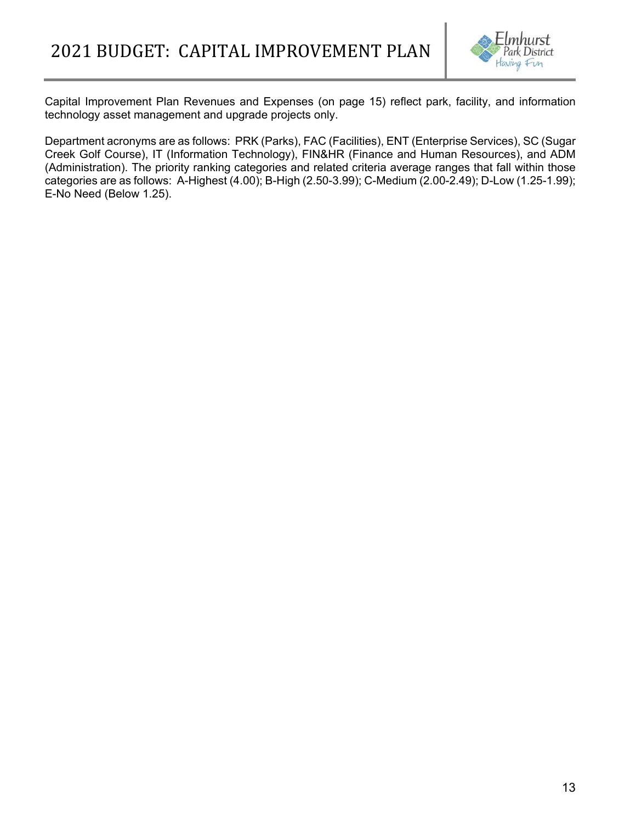

Capital Improvement Plan Revenues and Expenses (on page 15) reflect park, facility, and information technology asset management and upgrade projects only.

Department acronyms are as follows: PRK (Parks), FAC (Facilities), ENT (Enterprise Services), SC (Sugar Creek Golf Course), IT (Information Technology), FIN&HR (Finance and Human Resources), and ADM (Administration). The priority ranking categories and related criteria average ranges that fall within those categories are as follows: A-Highest (4.00); B-High (2.50-3.99); C-Medium (2.00-2.49); D-Low (1.25-1.99); E-No Need (Below 1.25).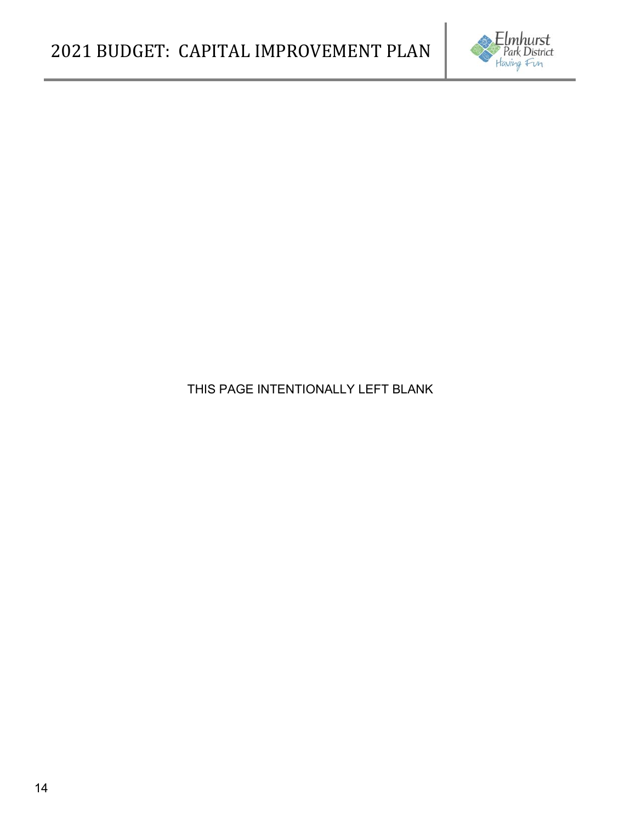

## THIS PAGE INTENTIONALLY LEFT BLANK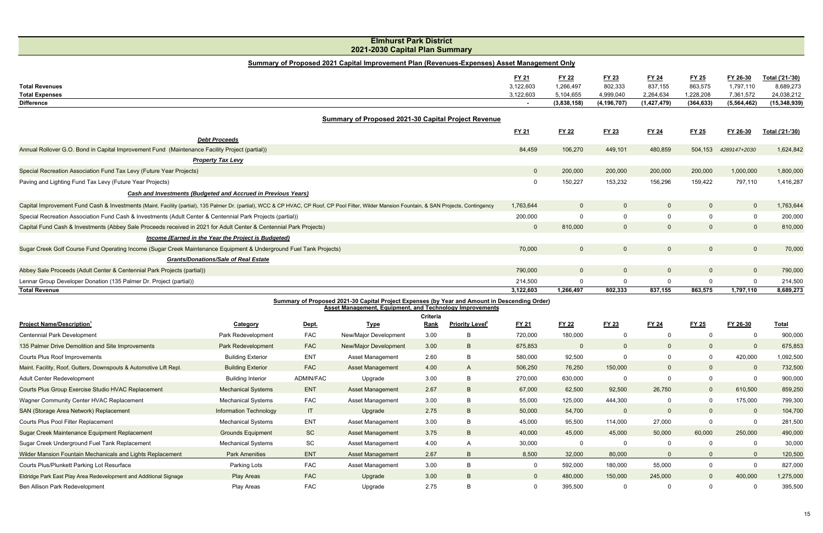| <b>FY 21</b> | <b>FY 22</b>   | FY 23         | <b>FY 24</b>  | <b>FY 25</b>   | FY 26-30      | Total ('21-'30) |
|--------------|----------------|---------------|---------------|----------------|---------------|-----------------|
| 3,122,603    | 1,266,497      | 802,333       | 837,155       | 863,575        | 1,797,110     | 8,689,273       |
| 3,122,603    | 5,104,655      | 4,999,040     | 2,264,634     | 1,228,208      | 7,361,572     | 24,038,212      |
|              | (3,838,158)    | (4, 196, 707) | (1, 427, 479) | (364, 633)     | (5, 564, 462) | (15, 348, 939)  |
|              |                |               |               |                |               |                 |
|              |                |               |               |                |               |                 |
| FY 21        | <b>FY 22</b>   | FY 23         | <b>FY 24</b>  | FY 25          | FY 26-30      | Total ('21-'30) |
| 84,459       | 106,270        | 449,101       | 480,859       | 504,153        | 4289147+2030  | 1,624,842       |
|              |                |               |               |                |               |                 |
|              |                |               |               |                |               |                 |
| $\mathbf{0}$ | 200,000        | 200,000       | 200,000       | 200,000        | 1,000,000     | 1,800,000       |
| $\mathsf 0$  | 150,227        | 153,232       | 156,296       | 159,422        | 797,110       | 1,416,287       |
|              |                |               |               |                |               |                 |
| 1,763,644    | $\mathbf 0$    | $\pmb{0}$     | $\pmb{0}$     | $\pmb{0}$      | $\mathbf 0$   | 1,763,644       |
| 200,000      | $\mathbf 0$    | $\mathsf 0$   | $\pmb{0}$     | $\pmb{0}$      | $\pmb{0}$     | 200,000         |
| $\pmb{0}$    | 810,000        | $\pmb{0}$     | $\pmb{0}$     | $\mathbf 0$    | $\mathbf 0$   | 810,000         |
|              |                |               |               |                |               |                 |
| 70,000       | $\mathbf 0$    | $\pmb{0}$     | $\pmb{0}$     | $\pmb{0}$      | $\mathbf 0$   | 70,000          |
|              |                |               |               |                |               |                 |
| 790,000      | $\overline{0}$ | $\pmb{0}$     | $\pmb{0}$     | $\overline{0}$ | $\mathbf 0$   | 790,000         |
| 214,500      | 0              | 0             | 0             | $\pmb{0}$      | $\mathbf 0$   | 214,500         |
| 2.400.002    | 1.000.107      | 0.00000       | 007 JFF       | 0.000075       | 1.707.110     | 0.000072        |

## **Total Revenues** 3,122,603 1,266,497 802,333 837,155 863,575 1,797,110 8,689,273 **Total Expenses** 3,122,603 5,104,655 4,999,040 2,264,634 1,228,208 7,361,572 24,038,212 **Difference (3,838,158) (4,196,707) (1,427,479) (364,633) (5 - ,564,462) (15,348,939)** Annual Rollover G.O. Bond in Capital Improvement Fund (Maintenance Facility Project (partial)) 84,459 84,459 106,270 Special Recreation Association Fund Tax Levy (Future Year Projects) 0 200,000 200,000 200,000 200,000 200,000 200,000 200,000 200,000 200,000 200,000 200,000 1,000 1,000 1,000 1,000 1,000 1,000 1,000 1,000 1,000 1,000 1,00 Paving and Lighting Fund Tax Levy (Future Year Projects) **0** 150,227 Capital Improvement Fund Cash & Investments (Maint. Facility (partial), 135 Palmer Dr. (partial), WCC & CP HVAC, CP Roof, CP Pool Filter, Wilder Mansion Fountain, & SAN Projects, Contingency 1,763,644 0 0 Special Recreation Association Fund Cash & Investments (Adult Center & Centennial Park Projects (partial)) 200,000 0 0 0 0 0 200,000 Capital Fund Cash & Investments (Abbey Sale Proceeds received in 2021 for Adult Center & Centennial Park Projects) 0 810,000 0 810,000 Sugar Creek Golf Course Fund Operating Income (Sugar Creek Maintenance Equipment & Underground Fuel Tank Projects) 70,000 0 0 0 0 0 70,000 Abbey Sale Proceeds (Adult Center & Centennial Park Projects (partial)) 790,000 0 0 0 0 0 790,000 Lennar Group Developer Donation (135 Palmer Dr. Project (partial)) 214,500 0 0 0 0 0 214,500 **Total Revenue 3,122,603 1,266,497 802,333 837,155 863,575 1,797,110 8,689,273 Summary of Proposed 2021 Capital Improvement Plan (Revenues-Expenses) Asset Management Only Summary of Proposed 2021-30 Capital Project Revenue** *Debt Proceeds Property Tax Levy Cash and Investments (Budgeted and Accrued in Previous Years) Income (Earned in the Year the Project is Budgeted) Grants/Donations/Sale of Real Estate*

| Summary of Proposed 2021-30 Capital Project Expenses (by Year and Amount in Descending Order)<br><b>Asset Management, Equipment, and Technology Improvements</b> |                               |                        |                              |          |                                    |          |              |              |              |                |              |              |
|------------------------------------------------------------------------------------------------------------------------------------------------------------------|-------------------------------|------------------------|------------------------------|----------|------------------------------------|----------|--------------|--------------|--------------|----------------|--------------|--------------|
|                                                                                                                                                                  |                               |                        |                              | Criteria |                                    |          |              |              |              |                |              |              |
| <b>Project Name/Description<sup>1</sup></b>                                                                                                                      | Category                      | Dept.                  | <b>Type</b>                  | Rank     | <b>Priority Level</b> <sup>2</sup> | FY 21    | <b>FY 22</b> | FY 23        | <b>FY 24</b> | FY 25          | FY 26-30     | <u>Total</u> |
| <b>Centennial Park Development</b>                                                                                                                               | Park Redevelopment            | <b>FAC</b>             | New/Major Development        | 3.00     | B                                  | 720,000  | 180,000      | 0            |              |                |              | 900,000      |
| 135 Palmer Drive Demolition and Site Improvements                                                                                                                | <b>Park Redevelopment</b>     | <b>FAC</b>             | <b>New/Major Development</b> | 3.00     | B                                  | 675,853  | $\Omega$     |              |              | 0              | $\mathbf{0}$ | 675,853      |
| Courts Plus Roof Improvements                                                                                                                                    | <b>Building Exterior</b>      | <b>ENT</b>             | Asset Management             | 2.60     | B                                  | 580,000  | 92,500       | $\mathbf{0}$ |              | 0              | 420,000      | 1,092,500    |
| Maint. Facility, Roof, Gutters, Downspouts & Automotive Lift Repl.                                                                                               | <b>Building Exterior</b>      | <b>FAC</b>             | <b>Asset Management</b>      | 4.00     | A                                  | 506,250  | 76,250       | 150,000      |              | 0              | $\mathbf{0}$ | 732,500      |
| Adult Center Redevelopment                                                                                                                                       | <b>Building Interior</b>      | <b>ADMIN/FAC</b>       | Upgrade                      | 3.00     | B                                  | 270,000  | 630,000      | 0            |              | 0              | $\Omega$     | 900,000      |
| Courts Plus Group Exercise Studio HVAC Replacement                                                                                                               | <b>Mechanical Systems</b>     | <b>ENT</b>             | Asset Management             | 2.67     | B                                  | 67,000   | 62,500       | 92,500       | 26,750       | $\mathbf{0}$   | 610,500      | 859,250      |
| Wagner Community Center HVAC Replacement                                                                                                                         | <b>Mechanical Systems</b>     | <b>FAC</b>             | Asset Management             | 3.00     | B                                  | 55,000   | 125,000      | 444,300      |              | 0              | 175,000      | 799,300      |
| <b>SAN (Storage Area Network) Replacement</b>                                                                                                                    | <b>Information Technology</b> | $\mathsf{I}\mathsf{T}$ | Upgrade                      | 2.75     | B                                  | 50,000   | 54,700       | 0            |              | 0              | $\mathbf 0$  | 104,700      |
| Courts Plus Pool Filter Replacement                                                                                                                              | <b>Mechanical Systems</b>     | <b>ENT</b>             | Asset Management             | 3.00     | B                                  | 45,000   | 95,500       | 114,000      | 27,000       | 0              | $\mathbf 0$  | 281,500      |
| Sugar Creek Maintenance Equipment Replacement                                                                                                                    | <b>Grounds Equipment</b>      | SC                     | <b>Asset Management</b>      | 3.75     | B                                  | 40,000   | 45,000       | 45,000       | 50,000       | 60,000         | 250,000      | 490,000      |
| Sugar Creek Underground Fuel Tank Replacement                                                                                                                    | <b>Mechanical Systems</b>     | SC                     | Asset Management             | 4.00     | $\mathsf{A}$                       | 30,000   | $\Omega$     | 0            |              |                | $\mathbf{0}$ | 30,000       |
| Wilder Mansion Fountain Mechanicals and Lights Replacement                                                                                                       | <b>Park Amenities</b>         | <b>ENT</b>             | <b>Asset Management</b>      | 2.67     | B.                                 | 8,500    | 32,000       | 80,000       |              | 0              | $\Omega$     | 120,500      |
| Courts Plus/Plunkett Parking Lot Resurface                                                                                                                       | Parking Lots                  | <b>FAC</b>             | Asset Management             | 3.00     | B                                  | 0        | 592,000      | 180,000      | 55,000       | 0              | $\mathbf 0$  | 827,000      |
| Eldridge Park East Play Area Redevelopment and Additional Signage                                                                                                | Play Areas                    | <b>FAC</b>             | Upgrade                      | 3.00     | B                                  | $\Omega$ | 480,000      | 150,000      | 245,000      | $\overline{0}$ | 400,000      | 1,275,000    |
| Ben Allison Park Redevelopment                                                                                                                                   | Play Areas                    | <b>FAC</b>             | Upgrade                      | 2.75     | B                                  | 0        | 395,500      | 0            |              |                |              | 395,500      |

#### **Elmhurst Park District 2021-2030 Capital Plan Summary**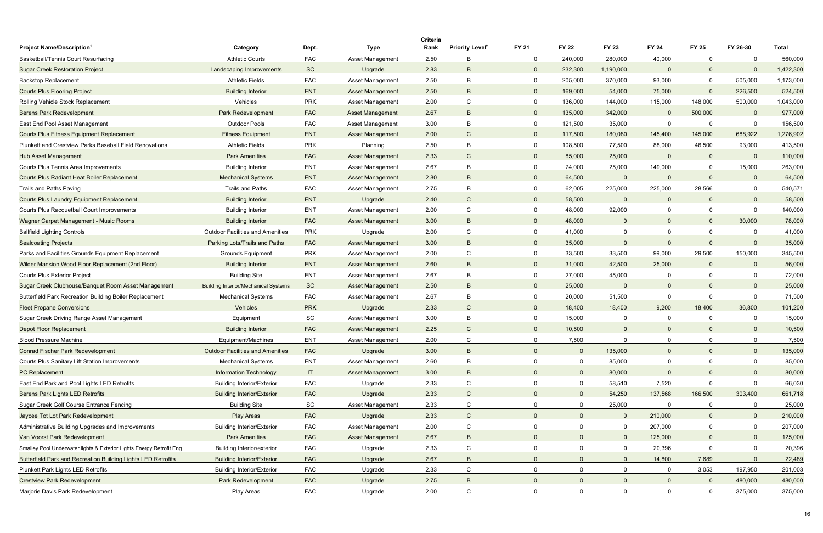|                                                                       |                                             |            |                         | <b>Criteria</b> |                                    |                |              |                |                |                |                |              |
|-----------------------------------------------------------------------|---------------------------------------------|------------|-------------------------|-----------------|------------------------------------|----------------|--------------|----------------|----------------|----------------|----------------|--------------|
| <b>Project Name/Description</b>                                       | Category                                    | Dept.      | <b>Type</b>             | <b>Rank</b>     | <b>Priority Level</b> <sup>2</sup> | FY 21          | <b>FY 22</b> | FY 23          | FY 24          | FY 25          | FY 26-30       | <b>Total</b> |
| Basketball/Tennis Court Resurfacing                                   | <b>Athletic Courts</b>                      | <b>FAC</b> | Asset Management        | 2.50            |                                    | 0              | 240,000      | 280,000        | 40,000         | 0              | $\mathbf 0$    | 560,000      |
| <b>Sugar Creek Restoration Project</b>                                | <b>Landscaping Improvements</b>             | <b>SC</b>  | Upgrade                 | 2.83            |                                    | $\mathbf{0}$   | 232,300      | 1,190,000      |                | $\Omega$       | $\Omega$       | 1,422,300    |
| <b>Backstop Replacement</b>                                           | <b>Athletic Fields</b>                      | <b>FAC</b> | Asset Management        | 2.50            | B                                  | $\mathbf{0}$   | 205,000      | 370,000        | 93,000         | $\mathbf 0$    | 505,000        | 1,173,000    |
| <b>Courts Plus Flooring Project</b>                                   | <b>Building Interior</b>                    | <b>ENT</b> | <b>Asset Management</b> | 2.50            | <sub>B</sub>                       | $\overline{0}$ | 169,000      | 54,000         | 75,000         | $\Omega$       | 226,500        | 524,500      |
| Rolling Vehicle Stock Replacement                                     | Vehicles                                    | <b>PRK</b> | Asset Management        | 2.00            | C                                  | $\mathbf{0}$   | 136,000      | 144,000        | 115,000        | 148,000        | 500,000        | 1,043,000    |
| <b>Berens Park Redevelopment</b>                                      | <b>Park Redevelopment</b>                   | <b>FAC</b> | <b>Asset Management</b> | 2.67            | B                                  | $\overline{0}$ | 135,000      | 342,000        | $\mathbf 0$    | 500,000        | $\overline{0}$ | 977,000      |
| East End Pool Asset Management                                        | <b>Outdoor Pools</b>                        | <b>FAC</b> | Asset Management        | 3.00            | B                                  | $\mathbf{0}$   | 121,500      | 35,000         | 0              | 0              | $\mathbf 0$    | 156,500      |
| <b>Courts Plus Fitness Equipment Replacement</b>                      | <b>Fitness Equipment</b>                    | <b>ENT</b> | <b>Asset Management</b> | 2.00            | $\mathbf{C}$                       | $\mathbf{0}$   | 117,500      | 180,080        | 145,400        | 145,000        | 688,922        | 1,276,902    |
| Plunkett and Crestview Parks Baseball Field Renovations               | <b>Athletic Fields</b>                      | <b>PRK</b> | Planning                | 2.50            | B                                  | $\mathbf{0}$   | 108,500      | 77,500         | 88,000         | 46,500         | 93,000         | 413,500      |
| <b>Hub Asset Management</b>                                           | <b>Park Amenities</b>                       | <b>FAC</b> | <b>Asset Management</b> | 2.33            |                                    | $\overline{0}$ | 85,000       | 25,000         | $\Omega$       | $\mathbf{0}$   | $\overline{0}$ | 110,000      |
| Courts Plus Tennis Area Improvements                                  | <b>Building Interior</b>                    | <b>ENT</b> | Asset Management        | 2.67            | B                                  | $\mathbf{0}$   | 74,000       | 25,000         | 149,000        | 0              | 15,000         | 263,000      |
| <b>Courts Plus Radiant Heat Boiler Replacement</b>                    | <b>Mechanical Systems</b>                   | ENT        | <b>Asset Management</b> | 2.80            | B                                  | $\overline{0}$ | 64,500       | $\overline{0}$ | $\Omega$       | $\Omega$       | $\overline{0}$ | 64,500       |
| <b>Trails and Paths Paving</b>                                        | <b>Trails and Paths</b>                     | <b>FAC</b> | <b>Asset Management</b> | 2.75            | B                                  | $\mathbf 0$    | 62,005       | 225,000        | 225,000        | 28,566         | $\mathbf 0$    | 540,571      |
| <b>Courts Plus Laundry Equipment Replacement</b>                      | <b>Building Interior</b>                    | <b>ENT</b> | Upgrade                 | 2.40            | C                                  | $\mathbf{0}$   | 58,500       | $\Omega$       |                | $\mathbf{0}$   | $\overline{0}$ | 58,500       |
| Courts Plus Racquetball Court Improvements                            | <b>Building Interior</b>                    | <b>ENT</b> | Asset Management        | 2.00            | C                                  | $\mathbf 0$    | 48,000       | 92,000         | 0              | 0              | $\mathbf 0$    | 140,000      |
| Wagner Carpet Management - Music Rooms                                | <b>Building Interior</b>                    | <b>FAC</b> | <b>Asset Management</b> | 3.00            | B                                  | $\overline{0}$ | 48,000       | $\Omega$       |                | $\overline{0}$ | 30,000         | 78,000       |
| <b>Ballfield Lighting Controls</b>                                    | <b>Outdoor Facilities and Amenities</b>     | <b>PRK</b> | Upgrade                 | 2.00            | $\mathsf{C}$                       | $\mathbf 0$    | 41,000       | 0              |                | 0              | $\mathbf 0$    | 41,000       |
| <b>Sealcoating Projects</b>                                           | Parking Lots/Trails and Paths               | <b>FAC</b> | <b>Asset Management</b> | 3.00            | <sub>R</sub>                       | $\overline{0}$ | 35,000       | $\Omega$       | $\Omega$       | $\Omega$       | $\Omega$       | 35,000       |
| Parks and Facilities Grounds Equipment Replacement                    | <b>Grounds Equipment</b>                    | <b>PRK</b> | Asset Management        | 2.00            | C                                  | $\mathbf{0}$   | 33,500       | 33,500         | 99,000         | 29,500         | 150,000        | 345,500      |
| Wilder Mansion Wood Floor Replacement (2nd Floor)                     | <b>Building Interior</b>                    | ENT        | <b>Asset Management</b> | 2.60            | B                                  | $\overline{0}$ | 31,000       | 42,500         | 25,000         | $\mathbf{0}$   | $\mathbf 0$    | 56,000       |
| <b>Courts Plus Exterior Project</b>                                   | <b>Building Site</b>                        | <b>ENT</b> | Asset Management        | 2.67            | B                                  | $\mathbf 0$    | 27,000       | 45,000         |                | $\Omega$       | $\mathbf 0$    | 72,000       |
| Sugar Creek Clubhouse/Banquet Room Asset Management                   | <b>Building Interior/Mechanical Systems</b> | <b>SC</b>  | <b>Asset Management</b> | 2.50            | <sub>B</sub>                       | $\overline{0}$ | 25,000       | $\Omega$       | $\mathbf{0}$   | $\mathbf{0}$   | $\mathbf{0}$   | 25,000       |
| Butterfield Park Recreation Building Boiler Replacement               | <b>Mechanical Systems</b>                   | <b>FAC</b> | Asset Management        | 2.67            | B                                  | $\mathbf{0}$   | 20,000       | 51,500         | 0              | 0              | $\mathbf 0$    | 71,500       |
| <b>Fleet Propane Conversions</b>                                      | <b>Vehicles</b>                             | <b>PRK</b> | Upgrade                 | 2.33            | $\mathsf{C}$                       | $\overline{0}$ | 18,400       | 18,400         | 9,200          | 18,400         | 36,800         | 101,200      |
| Sugar Creek Driving Range Asset Management                            | Equipment                                   | SC         | Asset Management        | 3.00            | B                                  | $\mathbf 0$    | 15,000       | 0              |                | 0              | $\mathbf 0$    | 15,000       |
| <b>Depot Floor Replacement</b>                                        | <b>Building Interior</b>                    | <b>FAC</b> | <b>Asset Management</b> | 2.25            |                                    | $\Omega$       | 10,500       |                |                | <sup>o</sup>   | $\Omega$       | 10,500       |
| <b>Blood Pressure Machine</b>                                         | Equipment/Machines                          | ENT        | Asset Management        | 2.00            | С                                  | 0              | 7,500        |                | 0              | 0              | 0              | 7,500        |
| <b>Conrad Fischer Park Redevelopment</b>                              | <b>Outdoor Facilities and Amenities</b>     | <b>FAC</b> | Upgrade                 | 3.00            | B                                  | $\overline{0}$ | $\Omega$     | 135,000        | $\mathbf{0}$   | $\mathbf{0}$   | $\overline{0}$ | 135,000      |
| <b>Courts Plus Sanitary Lift Station Improvements</b>                 | <b>Mechanical Systems</b>                   | <b>ENT</b> | Asset Management        | 2.60            | B                                  | $\mathbf 0$    | $\mathbf 0$  | 85,000         | $\mathbf 0$    | 0              | $\mathbf 0$    | 85,000       |
| <b>PC Replacement</b>                                                 | <b>Information Technology</b>               | IT         | <b>Asset Management</b> | 3.00            | B                                  | $\overline{0}$ | $\Omega$     | 80,000         | $\Omega$       | $\mathbf{0}$   | $\overline{0}$ | 80,000       |
| East End Park and Pool Lights LED Retrofits                           | <b>Building Interior/Exterior</b>           | <b>FAC</b> | Upgrade                 | 2.33            | C                                  | $\mathbf 0$    | $\mathbf 0$  | 58,510         | 7,520          | $\mathbf 0$    | $\overline{0}$ | 66,030       |
| Berens Park Lights LED Retrofits                                      | <b>Building Interior/Exterior</b>           | <b>FAC</b> | Upgrade                 | 2.33            | $\mathsf{C}$                       | $\overline{0}$ | $\Omega$     | 54,250         | 137,568        | 166,500        | 303,400        | 661,718      |
| Sugar Creek Golf Course Entrance Fencing                              | <b>Building Site</b>                        | SC         | Asset Management        | 2.33            | C                                  | $\mathbf 0$    | 0            | 25,000         |                | 0              | $\mathbf 0$    | 25,000       |
| Jaycee Tot Lot Park Redevelopment                                     | <b>Play Areas</b>                           | <b>FAC</b> | Upgrade                 | 2.33            | $\mathsf{C}$                       | $\overline{0}$ | $\Omega$     | $\mathbf{0}$   | 210,000        | $\mathbf{0}$   | $\overline{0}$ | 210,000      |
| Administrative Building Upgrades and Improvements                     | <b>Building Interior/Exterior</b>           | <b>FAC</b> | Asset Management        | 2.00            | $\mathsf{C}$                       | $\mathbf 0$    | $\mathbf 0$  | $\mathbf 0$    | 207,000        | $\mathbf 0$    | $\overline{0}$ | 207,000      |
| Van Voorst Park Redevelopment                                         | <b>Park Amenities</b>                       | <b>FAC</b> | Asset Management        | 2.67            | B                                  | $\overline{0}$ | $\Omega$     | $\mathbf{0}$   | 125,000        | $\mathbf{0}$   | $\overline{0}$ | 125,000      |
| Smalley Pool Underwater lights & Exterior Lights Energy Retrofit Eng. | <b>Building Interior/exterior</b>           | <b>FAC</b> | Upgrade                 | 2.33            | $\mathsf{C}$                       | $\mathbf 0$    | $\mathbf 0$  | $\mathbf 0$    | 20,396         | 0              | $\mathbf 0$    | 20,396       |
| Butterfield Park and Recreation Building Lights LED Retrofits         | <b>Building Interior/Exterior</b>           | <b>FAC</b> | Upgrade                 | 2.67            | B                                  | $\overline{0}$ | $\Omega$     | $\mathbf{0}$   | 14,800         | 7,689          | $\Omega$       | 22,489       |
| Plunkett Park Lights LED Retrofits                                    | <b>Building Interior/Exterior</b>           | <b>FAC</b> | Upgrade                 | 2.33            | $\mathsf{C}$                       | $\mathbf 0$    | $\mathbf 0$  | $\mathbf 0$    | 0              | 3,053          | 197,950        | 201,003      |
| <b>Crestview Park Redevelopment</b>                                   | <b>Park Redevelopment</b>                   | <b>FAC</b> | Upgrade                 | 2.75            | B                                  | $\overline{0}$ | $\Omega$     | $\Omega$       | $\overline{0}$ | $\overline{0}$ | 480,000        | 480,000      |
| Marjorie Davis Park Redevelopment                                     | Play Areas                                  | FAC        | Upgrade                 | 2.00            | $\mathsf{C}$                       | $\mathbf 0$    | $\mathbf 0$  | 0              | 0              | $\overline{0}$ | 375,000        | 375,000      |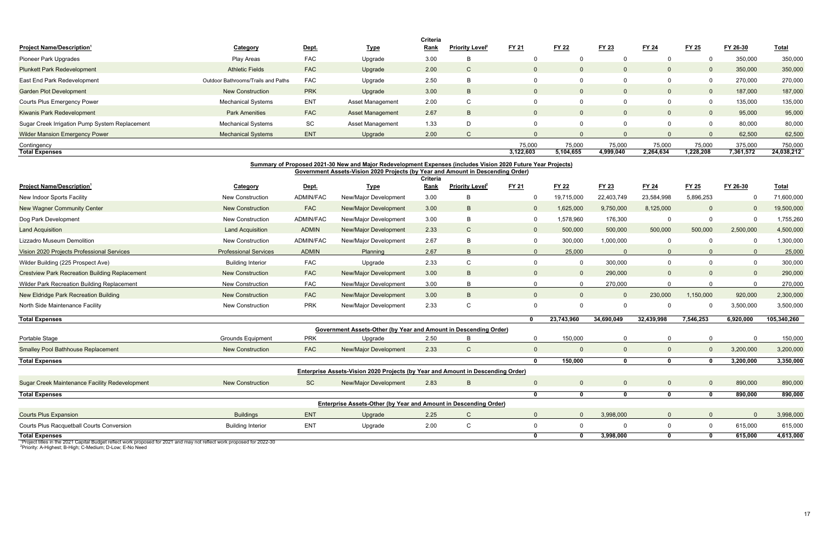|                                                |                                    |            |                         | Criteria    |                                    |                |              |           |              |              |           |              |
|------------------------------------------------|------------------------------------|------------|-------------------------|-------------|------------------------------------|----------------|--------------|-----------|--------------|--------------|-----------|--------------|
| <b>Project Name/Description1</b>               | <b>Category</b>                    | Dept.      | <u>Type</u>             | <u>Rank</u> | <b>Priority Level</b> <sup>2</sup> | <b>FY 21</b>   | <b>FY 22</b> | FY 23     | <b>FY 24</b> | <b>FY 25</b> | FY 26-30  | <b>Total</b> |
| <b>Pioneer Park Upgrades</b>                   | Play Areas                         | <b>FAC</b> | Upgrade                 | 3.00        | в                                  |                |              |           |              |              | 350,000   | 350,000      |
| <b>Plunkett Park Redevelopment</b>             | <b>Athletic Fields</b>             | <b>FAC</b> | Upgrade                 | 2.00        | ◡                                  | $\mathbf{0}$   |              | $\Omega$  |              |              | 350,000   | 350,000      |
| East End Park Redevelopment                    | Outdoor Bathrooms/Trails and Paths | <b>FAC</b> | Upgrade                 | 2.50        |                                    |                |              |           |              |              | 270,000   | 270,000      |
| <b>Garden Plot Development</b>                 | <b>New Construction</b>            | <b>PRK</b> | Upgrade                 | 3.00        | B                                  | $\overline{0}$ |              | $\Omega$  |              |              | 187,000   | 187,000      |
| <b>Courts Plus Emergency Power</b>             | <b>Mechanical Systems</b>          | <b>ENT</b> | Asset Management        | 2.00        | ◡                                  |                |              |           |              |              | 135,000   | 135,000      |
| <b>Kiwanis Park Redevelopment</b>              | <b>Park Amenities</b>              | <b>FAC</b> | <b>Asset Management</b> | 2.67        | B                                  | $\Omega$       |              | $\Omega$  |              |              | 95,000    | 95,000       |
| Sugar Creek Irrigation Pump System Replacement | <b>Mechanical Systems</b>          | SC         | Asset Management        | 1.33        | D                                  | 0              |              |           |              |              | 80,000    | 80,000       |
| <b>Wilder Mansion Emergency Power</b>          | <b>Mechanical Systems</b>          | <b>ENT</b> | Upgrade                 | 2.00        |                                    |                |              |           |              |              | 62,500    | 62,500       |
| Contingency                                    |                                    |            |                         |             |                                    | 75,000         | 75,000       | 75,000    | 75,000       | 75,000       | 375,000   | 750,000      |
| <b>Total Expenses</b>                          |                                    |            |                         |             |                                    | 3,122,603      | 5,104,655    | 4,999,040 | 2,264,634    | 1,228,208    | 7,361,572 | 24,038,212   |
|                                                |                                    |            |                         |             |                                    |                |              |           |              |              |           |              |

|                                                                                                                                                                                                |                              |                  |                                                                                        | <b>Criteria</b> |                                    |                |                |              |              |              |                |              |
|------------------------------------------------------------------------------------------------------------------------------------------------------------------------------------------------|------------------------------|------------------|----------------------------------------------------------------------------------------|-----------------|------------------------------------|----------------|----------------|--------------|--------------|--------------|----------------|--------------|
| <b>Project Name/Description<sup>1</sup></b>                                                                                                                                                    | Category                     | Dept.            | <b>Type</b>                                                                            | <b>Rank</b>     | <b>Priority Level</b> <sup>2</sup> | <b>FY 21</b>   | <b>FY 22</b>   | FY 23        | <b>FY 24</b> | <b>FY 25</b> | FY 26-30       | <b>Total</b> |
| New Indoor Sports Facility                                                                                                                                                                     | <b>New Construction</b>      | <b>ADMIN/FAC</b> | New/Major Development                                                                  | 3.00            | B                                  | 0              | 19,715,000     | 22,403,749   | 23,584,998   | 5,896,253    | $\Omega$       | 71,600,000   |
| <b>New Wagner Community Center</b>                                                                                                                                                             | <b>New Construction</b>      | <b>FAC</b>       | <b>New/Major Development</b>                                                           | 3.00            | B.                                 | $\Omega$       | 1,625,000      | 9,750,000    | 8,125,000    | $\Omega$     | $\Omega$       | 19,500,000   |
| Dog Park Development                                                                                                                                                                           | <b>New Construction</b>      | <b>ADMIN/FAC</b> | New/Major Development                                                                  | 3.00            | B                                  | $\mathbf{0}$   | 1,578,960      | 176,300      | $\Omega$     | $\Omega$     | $\Omega$       | 1,755,260    |
| <b>Land Acquisition</b>                                                                                                                                                                        | <b>Land Acquisition</b>      | <b>ADMIN</b>     | New/Major Development                                                                  | 2.33            | $\mathsf{C}$                       | $\overline{0}$ | 500,000        | 500,000      | 500,000      | 500,000      | 2,500,000      | 4,500,000    |
| <b>Lizzadro Museum Demolition</b>                                                                                                                                                              | <b>New Construction</b>      | <b>ADMIN/FAC</b> | New/Major Development                                                                  | 2.67            | B                                  | $\mathbf{0}$   | 300,000        | 1,000,000    |              |              | $\Omega$       | 1,300,000    |
| Vision 2020 Projects Professional Services                                                                                                                                                     | <b>Professional Services</b> | <b>ADMIN</b>     | Planning                                                                               | 2.67            | B                                  | $\Omega$       | 25,000         | $\Omega$     |              |              | $\mathbf{0}$   | 25,000       |
| Wilder Building (225 Prospect Ave)                                                                                                                                                             | <b>Building Interior</b>     | <b>FAC</b>       | Upgrade                                                                                | 2.33            | $\mathsf{C}$                       | $\mathbf 0$    | $\Omega$       | 300,000      |              | $\Omega$     | $\mathbf 0$    | 300,000      |
| <b>Crestview Park Recreation Building Replacement</b>                                                                                                                                          | <b>New Construction</b>      | <b>FAC</b>       | <b>New/Major Development</b>                                                           | 3.00            | B                                  | $\overline{0}$ | $\Omega$       | 290,000      |              | $\Omega$     | $\overline{0}$ | 290,000      |
| Wilder Park Recreation Building Replacement                                                                                                                                                    | New Construction             | <b>FAC</b>       | New/Major Development                                                                  | 3.00            | B                                  | $\Omega$       | $\Omega$       | 270,000      |              |              | $\Omega$       | 270,000      |
| New Eldridge Park Recreation Building                                                                                                                                                          | <b>New Construction</b>      | <b>FAC</b>       | <b>New/Major Development</b>                                                           | 3.00            | <sub>B</sub>                       | $\Omega$       | $\Omega$       | $\Omega$     | 230,000      | 1,150,000    | 920,000        | 2,300,000    |
| North Side Maintenance Facility                                                                                                                                                                | <b>New Construction</b>      | <b>PRK</b>       | New/Major Development                                                                  | 2.33            | C                                  | $\mathbf{0}$   | $\Omega$       | $\Omega$     |              |              | 3,500,000      | 3,500,000    |
| <b>Total Expenses</b>                                                                                                                                                                          |                              |                  |                                                                                        |                 |                                    | $\Omega$       | 23,743,960     | 34,690,049   | 32,439,998   | 7,546,253    | 6,920,000      | 105,340,260  |
|                                                                                                                                                                                                |                              |                  | Government Assets-Other (by Year and Amount in Descending Order)                       |                 |                                    |                |                |              |              |              |                |              |
| Portable Stage                                                                                                                                                                                 | <b>Grounds Equipment</b>     | <b>PRK</b>       | Upgrade                                                                                | 2.50            | <sub>B</sub>                       | $\mathbf{0}$   | 150,000        | $\Omega$     |              | $\Omega$     | $\Omega$       | 150,000      |
| <b>Smalley Pool Bathhouse Replacement</b>                                                                                                                                                      | <b>New Construction</b>      | <b>FAC</b>       | <b>New/Major Development</b>                                                           | 2.33            | $\mathsf{C}$                       | $\Omega$       | $\Omega$       | $\Omega$     | $\Omega$     |              | 3,200,000      | 3,200,000    |
| <b>Total Expenses</b>                                                                                                                                                                          |                              |                  |                                                                                        |                 |                                    | $\mathbf{0}$   | 150.000        | $\mathbf{0}$ | $\mathbf{0}$ |              | 3.200.000      | 3,350,000    |
|                                                                                                                                                                                                |                              |                  | <b>Enterprise Assets-Vision 2020 Projects (by Year and Amount in Descending Order)</b> |                 |                                    |                |                |              |              |              |                |              |
| <b>Sugar Creek Maintenance Facility Redevelopment</b>                                                                                                                                          | <b>New Construction</b>      | SC               | New/Major Development                                                                  | 2.83            | B                                  | $\overline{0}$ | $\overline{0}$ | $\Omega$     | $\Omega$     | $\Omega$     | 890,000        | 890,000      |
| <b>Total Expenses</b>                                                                                                                                                                          |                              |                  |                                                                                        |                 |                                    | $\mathbf{0}$   | $\Omega$       | $\mathbf{0}$ | $\mathbf{0}$ | $\mathbf{0}$ | 890,000        | 890,000      |
|                                                                                                                                                                                                |                              |                  | Enterprise Assets-Other (by Year and Amount in Descending Order)                       |                 |                                    |                |                |              |              |              |                |              |
| <b>Courts Plus Expansion</b>                                                                                                                                                                   | <b>Buildings</b>             | ENT              | Upgrade                                                                                | 2.25            | $\mathsf{C}$                       | $\Omega$       | $\Omega$       | 3,998,000    |              | $\Omega$     | $\Omega$       | 3,998,000    |
| <b>Courts Plus Racquetball Courts Conversion</b>                                                                                                                                               | <b>Building Interior</b>     | <b>ENT</b>       | Upgrade                                                                                | 2.00            | $\mathsf{C}$                       | $\mathbf 0$    | $\Omega$       | $\Omega$     |              | $\mathbf 0$  | 615,000        | 615,000      |
| <b>Total Expenses</b>                                                                                                                                                                          |                              |                  |                                                                                        |                 |                                    | $\mathbf{0}$   | - 0            | 3,998,000    | O            | $\Omega$     | 615,000        | 4,613,000    |
| Project titles in the 2021 Capital Budget reflect work proposed for 2021 and may not reflect work proposed for 2022-30<br><sup>2</sup> Priority: A-Highest; B-High; C-Medium; D-Low; E-No Need |                              |                  |                                                                                        |                 |                                    |                |                |              |              |              |                |              |

| Enterprise Assets-Other (by Year and Amount in Descending Order)<br>EN <sub>1</sub><br>2.25<br><b>Courts Plus Expansion</b><br><b>Buildings</b><br>Upgrade |                          |                 |         |      |  |  |  |  |  |
|------------------------------------------------------------------------------------------------------------------------------------------------------------|--------------------------|-----------------|---------|------|--|--|--|--|--|
|                                                                                                                                                            |                          |                 |         |      |  |  |  |  |  |
| Courts Plus Racquetball Courts Conversion                                                                                                                  | <b>Building Interior</b> | EN <sub>1</sub> | Upgrade | 2.00 |  |  |  |  |  |
| <b>Total Evnoncoc</b>                                                                                                                                      |                          |                 |         |      |  |  |  |  |  |

#### **Government Assets-Vision 2020 Projects (by Year and Amount in Descending Order) Summary of Proposed 2021-30 New and Major Redevelopment Expenses (includes Vision 2020 Future Year Projects)**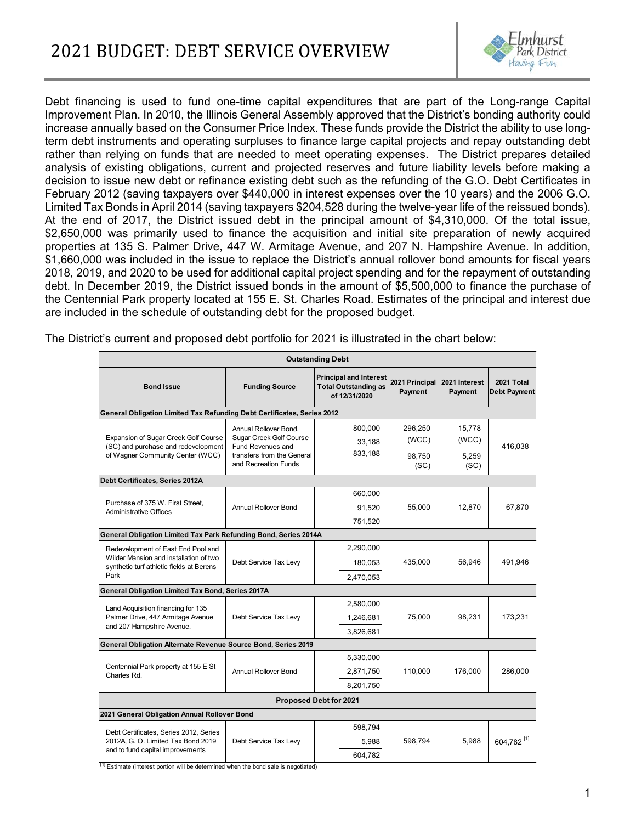

Debt financing is used to fund one-time capital expenditures that are part of the Long-range Capital Improvement Plan. In 2010, the Illinois General Assembly approved that the District's bonding authority could increase annually based on the Consumer Price Index. These funds provide the District the ability to use longterm debt instruments and operating surpluses to finance large capital projects and repay outstanding debt rather than relying on funds that are needed to meet operating expenses. The District prepares detailed analysis of existing obligations, current and projected reserves and future liability levels before making a decision to issue new debt or refinance existing debt such as the refunding of the G.O. Debt Certificates in February 2012 (saving taxpayers over \$440,000 in interest expenses over the 10 years) and the 2006 G.O. Limited Tax Bonds in April 2014 (saving taxpayers \$204,528 during the twelve-year life of the reissued bonds). At the end of 2017, the District issued debt in the principal amount of \$4,310,000. Of the total issue, \$2,650,000 was primarily used to finance the acquisition and initial site preparation of newly acquired properties at 135 S. Palmer Drive, 447 W. Armitage Avenue, and 207 N. Hampshire Avenue. In addition, \$1,660,000 was included in the issue to replace the District's annual rollover bond amounts for fiscal years 2018, 2019, and 2020 to be used for additional capital project spending and for the repayment of outstanding debt. In December 2019, the District issued bonds in the amount of \$5,500,000 to finance the purchase of the Centennial Park property located at 155 E. St. Charles Road. Estimates of the principal and interest due are included in the schedule of outstanding debt for the proposed budget.

|                                                                                                                 |                                                                                                     | <b>Outstanding Debt</b>                                                       |                            |                          |                                   |  |  |  |  |  |  |
|-----------------------------------------------------------------------------------------------------------------|-----------------------------------------------------------------------------------------------------|-------------------------------------------------------------------------------|----------------------------|--------------------------|-----------------------------------|--|--|--|--|--|--|
| <b>Bond Issue</b>                                                                                               | <b>Funding Source</b>                                                                               | <b>Principal and Interest</b><br><b>Total Outstanding as</b><br>of 12/31/2020 | 2021 Principal<br>Payment  | 2021 Interest<br>Payment | 2021 Total<br><b>Debt Payment</b> |  |  |  |  |  |  |
| General Obligation Limited Tax Refunding Debt Certificates, Series 2012                                         |                                                                                                     |                                                                               |                            |                          |                                   |  |  |  |  |  |  |
| Expansion of Sugar Creek Golf Course<br>(SC) and purchase and redevelopment<br>of Wagner Community Center (WCC) | Annual Rollover Bond,<br>Sugar Creek Golf Course<br>Fund Revenues and<br>transfers from the General | 800,000<br>33,188<br>833,188                                                  | 296,250<br>(WCC)<br>98,750 | 15,778<br>(WCC)<br>5,259 | 416,038                           |  |  |  |  |  |  |
|                                                                                                                 | and Recreation Funds                                                                                |                                                                               | (SC)                       | (SC)                     |                                   |  |  |  |  |  |  |
| Debt Certificates, Series 2012A                                                                                 |                                                                                                     |                                                                               |                            |                          |                                   |  |  |  |  |  |  |
|                                                                                                                 |                                                                                                     | 660,000                                                                       |                            |                          |                                   |  |  |  |  |  |  |
| Purchase of 375 W. First Street.<br>Administrative Offices                                                      | Annual Rollover Bond                                                                                | 91,520                                                                        | 55,000                     | 12,870                   | 67,870                            |  |  |  |  |  |  |
|                                                                                                                 |                                                                                                     | 751,520                                                                       |                            |                          |                                   |  |  |  |  |  |  |
| General Obligation Limited Tax Park Refunding Bond, Series 2014A                                                |                                                                                                     |                                                                               |                            |                          |                                   |  |  |  |  |  |  |
| Redevelopment of East End Pool and                                                                              |                                                                                                     | 2,290,000                                                                     |                            |                          |                                   |  |  |  |  |  |  |
| Wilder Mansion and installation of two<br>synthetic turf athletic fields at Berens                              | Debt Service Tax Levy                                                                               | 180,053                                                                       | 435,000                    | 56,946                   | 491,946                           |  |  |  |  |  |  |
| Park                                                                                                            |                                                                                                     | 2,470,053                                                                     |                            |                          |                                   |  |  |  |  |  |  |
| General Obligation Limited Tax Bond, Series 2017A                                                               |                                                                                                     |                                                                               |                            |                          |                                   |  |  |  |  |  |  |
| Land Acquisition financing for 135                                                                              |                                                                                                     | 2,580,000                                                                     |                            |                          |                                   |  |  |  |  |  |  |
| Palmer Drive, 447 Armitage Avenue                                                                               | Debt Service Tax Levy                                                                               | 1,246,681                                                                     | 75,000                     | 98,231                   | 173,231                           |  |  |  |  |  |  |
| and 207 Hampshire Avenue.                                                                                       |                                                                                                     | 3,826,681                                                                     |                            |                          |                                   |  |  |  |  |  |  |
| General Obligation Alternate Revenue Source Bond, Series 2019                                                   |                                                                                                     |                                                                               |                            |                          |                                   |  |  |  |  |  |  |
| Centennial Park property at 155 E St                                                                            |                                                                                                     | 5,330,000                                                                     |                            |                          |                                   |  |  |  |  |  |  |
| Charles Rd.                                                                                                     | <b>Annual Rollover Bond</b>                                                                         | 2,871,750                                                                     | 110,000                    | 176,000                  | 286,000                           |  |  |  |  |  |  |
|                                                                                                                 |                                                                                                     | 8,201,750                                                                     |                            |                          |                                   |  |  |  |  |  |  |
|                                                                                                                 |                                                                                                     | Proposed Debt for 2021                                                        |                            |                          |                                   |  |  |  |  |  |  |
|                                                                                                                 | 2021 General Obligation Annual Rollover Bond                                                        |                                                                               |                            |                          |                                   |  |  |  |  |  |  |
| Debt Certificates, Series 2012, Series                                                                          |                                                                                                     | 598,794                                                                       |                            |                          |                                   |  |  |  |  |  |  |
| 2012A, G. O. Limited Tax Bond 2019                                                                              | Debt Service Tax Levy                                                                               | 5,988                                                                         | 598,794                    | 5,988                    | 604,782 <sup>[1]</sup>            |  |  |  |  |  |  |
| and to fund capital improvements                                                                                |                                                                                                     | 604,782                                                                       |                            |                          |                                   |  |  |  |  |  |  |
| Estimate (interest portion will be determined when the bond sale is negotiated)                                 |                                                                                                     |                                                                               |                            |                          |                                   |  |  |  |  |  |  |

The District's current and proposed debt portfolio for 2021 is illustrated in the chart below: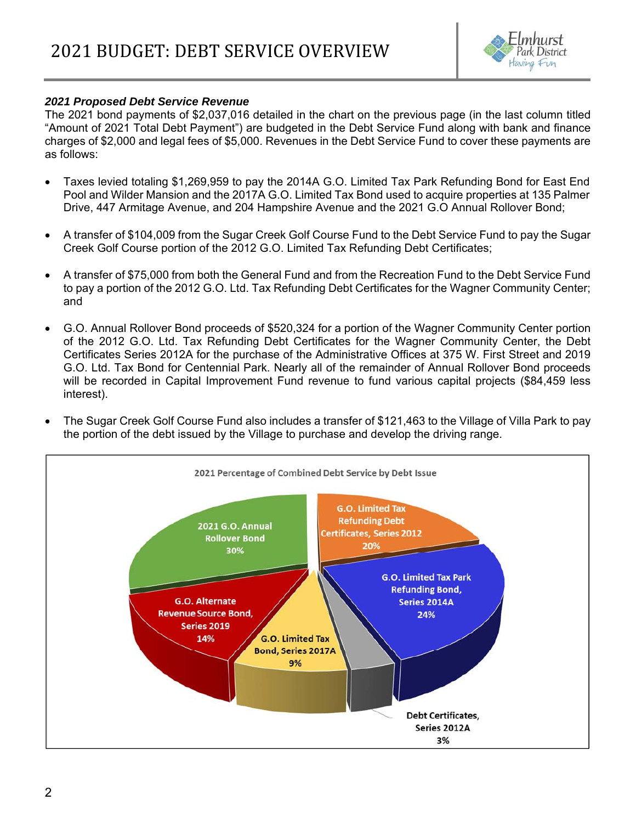

#### *2021 Proposed Debt Service Revenue*

The 2021 bond payments of \$2,037,016 detailed in the chart on the previous page (in the last column titled "Amount of 2021 Total Debt Payment") are budgeted in the Debt Service Fund along with bank and finance charges of \$2,000 and legal fees of \$5,000. Revenues in the Debt Service Fund to cover these payments are as follows:

- Taxes levied totaling \$1,269,959 to pay the 2014A G.O. Limited Tax Park Refunding Bond for East End Pool and Wilder Mansion and the 2017A G.O. Limited Tax Bond used to acquire properties at 135 Palmer Drive, 447 Armitage Avenue, and 204 Hampshire Avenue and the 2021 G.O Annual Rollover Bond;
- A transfer of \$104,009 from the Sugar Creek Golf Course Fund to the Debt Service Fund to pay the Sugar Creek Golf Course portion of the 2012 G.O. Limited Tax Refunding Debt Certificates;
- A transfer of \$75,000 from both the General Fund and from the Recreation Fund to the Debt Service Fund to pay a portion of the 2012 G.O. Ltd. Tax Refunding Debt Certificates for the Wagner Community Center; and
- G.O. Annual Rollover Bond proceeds of \$520,324 for a portion of the Wagner Community Center portion of the 2012 G.O. Ltd. Tax Refunding Debt Certificates for the Wagner Community Center, the Debt Certificates Series 2012A for the purchase of the Administrative Offices at 375 W. First Street and 2019 G.O. Ltd. Tax Bond for Centennial Park. Nearly all of the remainder of Annual Rollover Bond proceeds will be recorded in Capital Improvement Fund revenue to fund various capital projects (\$84,459 less interest).
- The Sugar Creek Golf Course Fund also includes a transfer of \$121,463 to the Village of Villa Park to pay the portion of the debt issued by the Village to purchase and develop the driving range.

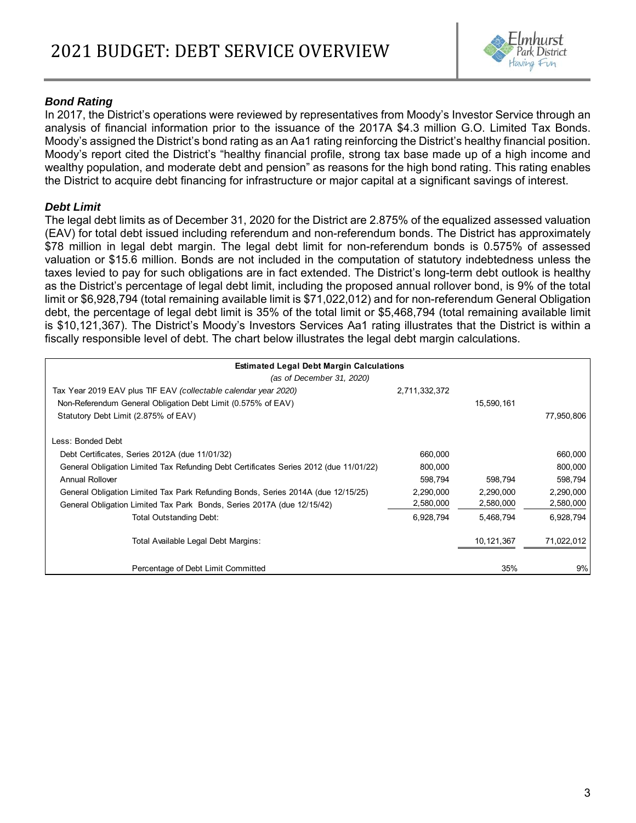

#### *Bond Rating*

In 2017, the District's operations were reviewed by representatives from Moody's Investor Service through an analysis of financial information prior to the issuance of the 2017A \$4.3 million G.O. Limited Tax Bonds. Moody's assigned the District's bond rating as an Aa1 rating reinforcing the District's healthy financial position. Moody's report cited the District's "healthy financial profile, strong tax base made up of a high income and wealthy population, and moderate debt and pension" as reasons for the high bond rating. This rating enables the District to acquire debt financing for infrastructure or major capital at a significant savings of interest.

#### *Debt Limit*

The legal debt limits as of December 31, 2020 for the District are 2.875% of the equalized assessed valuation (EAV) for total debt issued including referendum and non-referendum bonds. The District has approximately \$78 million in legal debt margin. The legal debt limit for non-referendum bonds is 0.575% of assessed valuation or \$15.6 million. Bonds are not included in the computation of statutory indebtedness unless the taxes levied to pay for such obligations are in fact extended. The District's long-term debt outlook is healthy as the District's percentage of legal debt limit, including the proposed annual rollover bond, is 9% of the total limit or \$6,928,794 (total remaining available limit is \$71,022,012) and for non-referendum General Obligation debt, the percentage of legal debt limit is 35% of the total limit or \$5,468,794 (total remaining available limit is \$10,121,367). The District's Moody's Investors Services Aa1 rating illustrates that the District is within a fiscally responsible level of debt. The chart below illustrates the legal debt margin calculations.

| <b>Estimated Legal Debt Margin Calculations</b>                                       |               |              |            |
|---------------------------------------------------------------------------------------|---------------|--------------|------------|
| (as of December 31, 2020)                                                             |               |              |            |
| Tax Year 2019 EAV plus TIF EAV (collectable calendar year 2020)                       | 2,711,332,372 |              |            |
| Non-Referendum General Obligation Debt Limit (0.575% of EAV)                          |               | 15,590,161   |            |
| Statutory Debt Limit (2.875% of EAV)                                                  |               |              | 77,950,806 |
| Less: Bonded Debt                                                                     |               |              |            |
| Debt Certificates, Series 2012A (due 11/01/32)                                        | 660,000       |              | 660,000    |
| General Obligation Limited Tax Refunding Debt Certificates Series 2012 (due 11/01/22) | 800,000       |              | 800,000    |
| Annual Rollover                                                                       | 598.794       | 598.794      | 598,794    |
| General Obligation Limited Tax Park Refunding Bonds, Series 2014A (due 12/15/25)      | 2,290,000     | 2,290,000    | 2,290,000  |
| General Obligation Limited Tax Park Bonds, Series 2017A (due 12/15/42)                | 2,580,000     | 2,580,000    | 2,580,000  |
| Total Outstanding Debt:                                                               | 6,928,794     | 5,468,794    | 6,928,794  |
| Total Available Legal Debt Margins:                                                   |               | 10, 121, 367 | 71,022,012 |
| Percentage of Debt Limit Committed                                                    |               | 35%          | 9%         |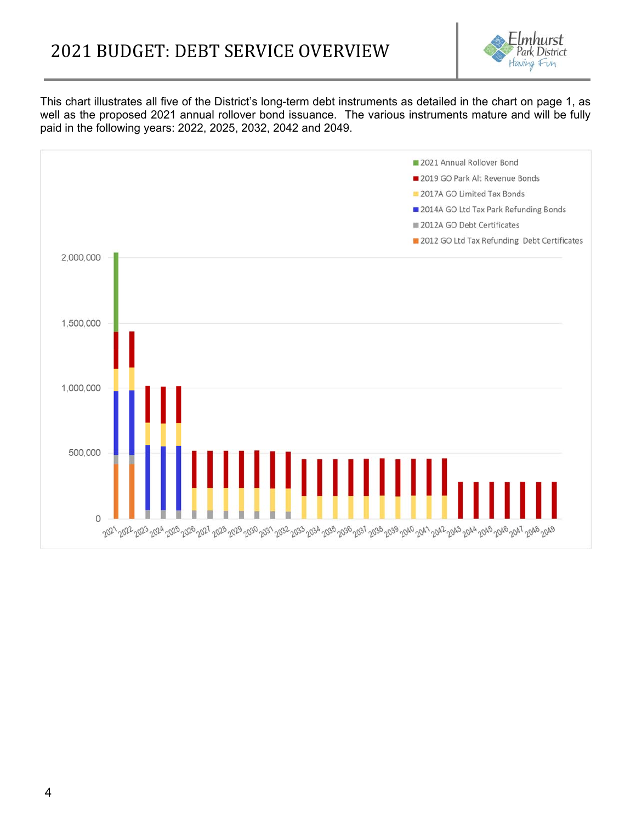# 2021 BUDGET: DEBT SERVICE OVERVIEW



This chart illustrates all five of the District's long-term debt instruments as detailed in the chart on page 1, as well as the proposed 2021 annual rollover bond issuance. The various instruments mature and will be fully paid in the following years: 2022, 2025, 2032, 2042 and 2049.

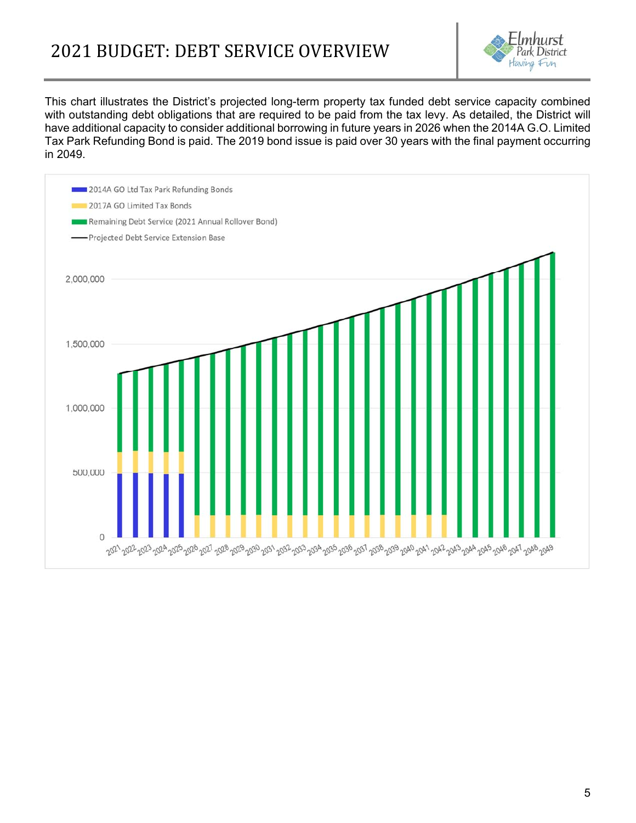# 2021 BUDGET: DEBT SERVICE OVERVIEW



This chart illustrates the District's projected long-term property tax funded debt service capacity combined with outstanding debt obligations that are required to be paid from the tax levy. As detailed, the District will have additional capacity to consider additional borrowing in future years in 2026 when the 2014A G.O. Limited Tax Park Refunding Bond is paid. The 2019 bond issue is paid over 30 years with the final payment occurring in 2049.

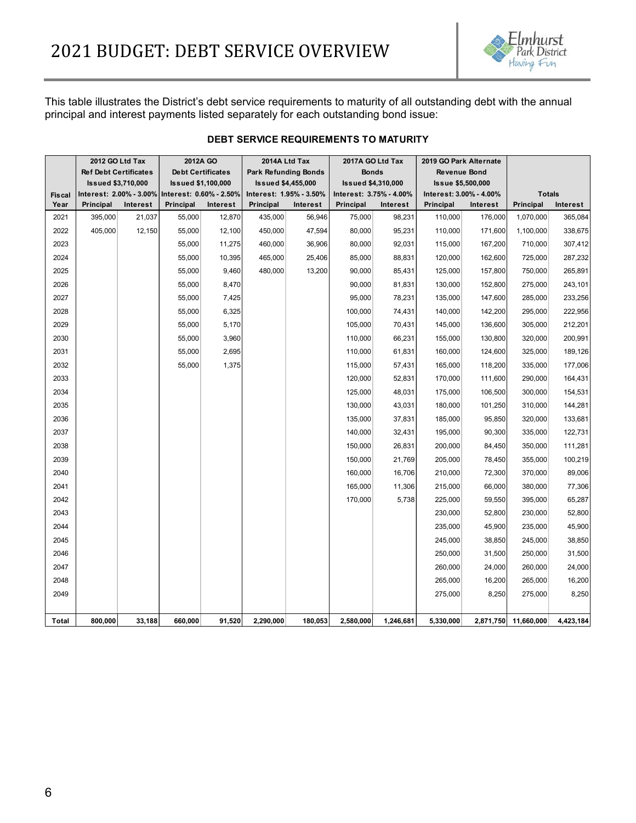

This table illustrates the District's debt service requirements to maturity of all outstanding debt with the annual principal and interest payments listed separately for each outstanding bond issue:

|               | 2012 GO Ltd Tax |                              | 2012A GO                                        |                           |           | 2014A Ltd Tax             |           | 2017A GO Ltd Tax          | 2019 GO Park Alternate   |                 |               |           |
|---------------|-----------------|------------------------------|-------------------------------------------------|---------------------------|-----------|---------------------------|-----------|---------------------------|--------------------------|-----------------|---------------|-----------|
|               |                 | <b>Ref Debt Certificates</b> |                                                 | <b>Debt Certificates</b>  |           | Park Refunding Bonds      |           | <b>Bonds</b>              | <b>Revenue Bond</b>      |                 |               |           |
|               |                 | <b>Issued \$3,710,000</b>    |                                                 | <b>Issued \$1,100,000</b> |           | <b>Issued \$4,455,000</b> |           | <b>Issued \$4,310,000</b> | <b>Issue \$5,500,000</b> |                 |               |           |
| <b>Fiscal</b> |                 |                              | Interest: 2.00% - 3.00% Interest: 0.60% - 2.50% |                           |           | Interest: 1.95% - 3.50%   |           | Interest: 3.75% - 4.00%   | Interest: 3.00% - 4.00%  |                 | <b>Totals</b> |           |
| Year          | Principal       | <b>Interest</b>              | Principal                                       | Interest                  | Principal | Interest                  | Principal | Interest                  | Principal                | <b>Interest</b> | Principal     | Interest  |
| 2021          | 395,000         | 21,037                       | 55,000                                          | 12,870                    | 435,000   | 56,946                    | 75,000    | 98,231                    | 110,000                  | 176,000         | 1,070,000     | 365,084   |
| 2022          | 405,000         | 12,150                       | 55,000                                          | 12,100                    | 450,000   | 47,594                    | 80,000    | 95,231                    | 110,000                  | 171,600         | 1,100,000     | 338,675   |
| 2023          |                 |                              | 55,000                                          | 11,275                    | 460,000   | 36,906                    | 80,000    | 92,031                    | 115,000                  | 167,200         | 710,000       | 307,412   |
| 2024          |                 |                              | 55,000                                          | 10,395                    | 465,000   | 25,406                    | 85,000    | 88,831                    | 120,000                  | 162,600         | 725,000       | 287,232   |
| 2025          |                 |                              | 55,000                                          | 9,460                     | 480,000   | 13,200                    | 90,000    | 85,431                    | 125,000                  | 157,800         | 750,000       | 265,891   |
| 2026          |                 |                              | 55,000                                          | 8,470                     |           |                           | 90,000    | 81,831                    | 130,000                  | 152,800         | 275,000       | 243,101   |
| 2027          |                 |                              | 55,000                                          | 7,425                     |           |                           | 95,000    | 78,231                    | 135,000                  | 147,600         | 285,000       | 233,256   |
| 2028          |                 |                              | 55,000                                          | 6,325                     |           |                           | 100,000   | 74,431                    | 140,000                  | 142,200         | 295,000       | 222,956   |
| 2029          |                 |                              | 55,000                                          | 5,170                     |           |                           | 105,000   | 70,431                    | 145,000                  | 136,600         | 305,000       | 212,201   |
| 2030          |                 |                              | 55,000                                          | 3,960                     |           |                           | 110,000   | 66,231                    | 155,000                  | 130,800         | 320,000       | 200,991   |
| 2031          |                 |                              | 55,000                                          | 2,695                     |           |                           | 110,000   | 61,831                    | 160,000                  | 124,600         | 325,000       | 189,126   |
| 2032          |                 |                              | 55,000                                          | 1,375                     |           |                           | 115,000   | 57,431                    | 165,000                  | 118,200         | 335,000       | 177,006   |
| 2033          |                 |                              |                                                 |                           |           |                           | 120,000   | 52,831                    | 170,000                  | 111,600         | 290,000       | 164,431   |
| 2034          |                 |                              |                                                 |                           |           |                           | 125,000   | 48,031                    | 175,000                  | 106,500         | 300,000       | 154,531   |
| 2035          |                 |                              |                                                 |                           |           |                           | 130,000   | 43,031                    | 180,000                  | 101,250         | 310,000       | 144,281   |
| 2036          |                 |                              |                                                 |                           |           |                           | 135,000   | 37,831                    | 185,000                  | 95,850          | 320,000       | 133,681   |
| 2037          |                 |                              |                                                 |                           |           |                           | 140,000   | 32,431                    | 195,000                  | 90,300          | 335,000       | 122,731   |
| 2038          |                 |                              |                                                 |                           |           |                           | 150,000   | 26,831                    | 200,000                  | 84,450          | 350,000       | 111,281   |
| 2039          |                 |                              |                                                 |                           |           |                           | 150,000   | 21,769                    | 205,000                  | 78,450          | 355,000       | 100,219   |
| 2040          |                 |                              |                                                 |                           |           |                           | 160,000   | 16,706                    | 210,000                  | 72,300          | 370,000       | 89,006    |
| 2041          |                 |                              |                                                 |                           |           |                           | 165,000   | 11,306                    | 215,000                  | 66,000          | 380,000       | 77,306    |
| 2042          |                 |                              |                                                 |                           |           |                           | 170,000   | 5,738                     | 225,000                  | 59,550          | 395,000       | 65,287    |
| 2043          |                 |                              |                                                 |                           |           |                           |           |                           | 230,000                  | 52,800          | 230,000       | 52,800    |
| 2044          |                 |                              |                                                 |                           |           |                           |           |                           | 235,000                  | 45,900          | 235,000       | 45,900    |
| 2045          |                 |                              |                                                 |                           |           |                           |           |                           | 245,000                  | 38,850          | 245,000       | 38,850    |
| 2046          |                 |                              |                                                 |                           |           |                           |           |                           | 250,000                  | 31,500          | 250,000       | 31,500    |
| 2047          |                 |                              |                                                 |                           |           |                           |           |                           | 260,000                  | 24,000          | 260,000       | 24,000    |
| 2048          |                 |                              |                                                 |                           |           |                           |           |                           | 265,000                  | 16,200          | 265,000       | 16,200    |
| 2049          |                 |                              |                                                 |                           |           |                           |           |                           | 275,000                  | 8,250           | 275,000       | 8,250     |
|               |                 |                              |                                                 |                           |           |                           |           |                           |                          |                 |               |           |
| Total         | 800,000         | 33,188                       | 660,000                                         | 91,520                    | 2,290,000 | 180,053                   | 2,580,000 | 1,246,681                 | 5,330,000                | 2,871,750       | 11,660,000    | 4,423,184 |

#### **DEBT SERVICE REQUIREMENTS TO MATURITY**